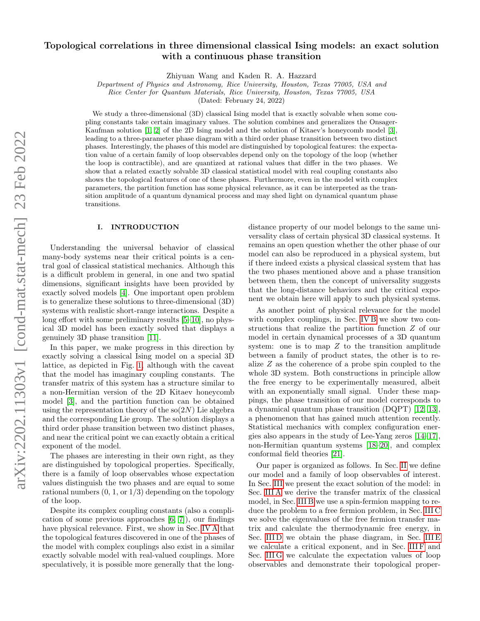# Topological correlations in three dimensional classical Ising models: an exact solution with a continuous phase transition

Zhiyuan Wang and Kaden R. A. Hazzard

Department of Physics and Astronomy, Rice University, Houston, Texas 77005, USA and

Rice Center for Quantum Materials, Rice University, Houston, Texas 77005, USA

(Dated: February 24, 2022)

We study a three-dimensional (3D) classical Ising model that is exactly solvable when some coupling constants take certain imaginary values. The solution combines and generalizes the Onsager-Kaufman solution [\[1,](#page-17-0) [2\]](#page-17-1) of the 2D Ising model and the solution of Kitaev's honeycomb model [\[3\]](#page-17-2), leading to a three-parameter phase diagram with a third order phase transition between two distinct phases. Interestingly, the phases of this model are distinguished by topological features: the expectation value of a certain family of loop observables depend only on the topology of the loop (whether the loop is contractible), and are quantized at rational values that differ in the two phases. We show that a related exactly solvable 3D classical statistical model with real coupling constants also shows the topological features of one of these phases. Furthermore, even in the model with complex parameters, the partition function has some physical relevance, as it can be interpreted as the transition amplitude of a quantum dynamical process and may shed light on dynamical quantum phase transitions.

#### I. INTRODUCTION

Understanding the universal behavior of classical many-body systems near their critical points is a central goal of classical statistical mechanics. Although this is a difficult problem in general, in one and two spatial dimensions, significant insights have been provided by exactly solved models [\[4\]](#page-17-3). One important open problem is to generalize these solutions to three-dimensional (3D) systems with realistic short-range interactions. Despite a long effort with some preliminary results [\[5–](#page-17-4)[10\]](#page-17-5), no physical 3D model has been exactly solved that displays a genuinely 3D phase transition [\[11\]](#page-17-6).

In this paper, we make progress in this direction by exactly solving a classical Ising model on a special 3D lattice, as depicted in Fig. [1,](#page-1-0) although with the caveat that the model has imaginary coupling constants. The transfer matrix of this system has a structure similar to a non-Hermitian version of the 2D Kitaev honeycomb model [\[3\]](#page-17-2), and the partition function can be obtained using the representation theory of the  $\text{so}(2N)$  Lie algebra and the corresponding Lie group. The solution displays a third order phase transition between two distinct phases, and near the critical point we can exactly obtain a critical exponent of the model.

The phases are interesting in their own right, as they are distinguished by topological properties. Specifically, there is a family of loop observables whose expectation values distinguish the two phases and are equal to some rational numbers  $(0, 1, \text{or } 1/3)$  depending on the topology of the loop.

Despite its complex coupling constants (also a complication of some previous approaches [\[6,](#page-17-7) [7\]](#page-17-8)), our findings have physical relevance. First, we show in Sec. [IV A](#page-9-0) that the topological features discovered in one of the phases of the model with complex couplings also exist in a similar exactly solvable model with real-valued couplings. More speculatively, it is possible more generally that the long-

distance property of our model belongs to the same universality class of certain physical 3D classical systems. It remains an open question whether the other phase of our model can also be reproduced in a physical system, but if there indeed exists a physical classical system that has the two phases mentioned above and a phase transition between them, then the concept of universality suggests that the long-distance behaviors and the critical exponent we obtain here will apply to such physical systems.

As another point of physical relevance for the model with complex couplings, in Sec. [IV B](#page-9-1) we show two constructions that realize the partition function Z of our model in certain dynamical processes of a 3D quantum system: one is to map  $Z$  to the transition amplitude between a family of product states, the other is to realize Z as the coherence of a probe spin coupled to the whole 3D system. Both constructions in principle allow the free energy to be experimentally measured, albeit with an exponentially small signal. Under these mappings, the phase transition of our model corresponds to a dynamical quantum phase transition (DQPT) [\[12,](#page-17-9) [13\]](#page-17-10), a phenomenon that has gained much attention recently. Statistical mechanics with complex configuration energies also appears in the study of Lee-Yang zeros [\[14–](#page-17-11)[17\]](#page-17-12), non-Hermitian quantum systems [\[18–](#page-17-13)[20\]](#page-17-14), and complex conformal field theories [\[21\]](#page-17-15).

Our paper is organized as follows. In Sec. [II](#page-1-1) we define our model and a family of loop observables of interest. In Sec. [III](#page-2-0) we present the exact solution of the model: in Sec. [III A](#page-2-1) we derive the transfer matrix of the classical model, in Sec. [III B](#page-3-0) we use a spin-fermion mapping to reduce the problem to a free fermion problem, in Sec. [III C](#page-4-0) we solve the eigenvalues of the free fermion transfer matrix and calculate the thermodynamic free energy, in Sec. IIID we obtain the phase diagram, in Sec. IIIE we calculate a critical exponent, and in Sec. [III F](#page-7-1) and Sec. [III G](#page-7-2) we calculate the expectation values of loop observables and demonstrate their topological proper-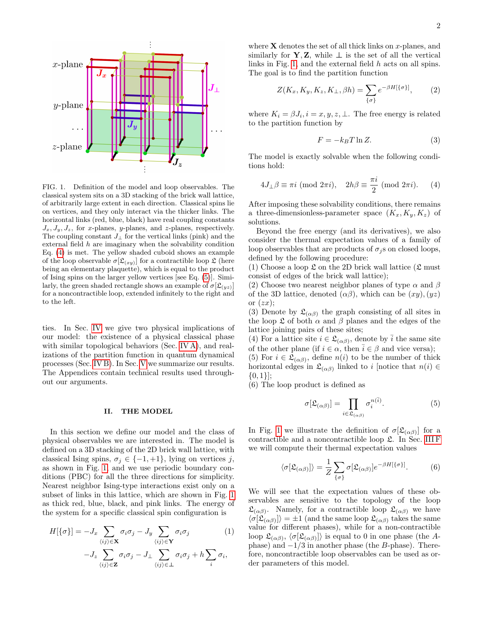

<span id="page-1-0"></span>FIG. 1. Definition of the model and loop observables. The classical system sits on a 3D stacking of the brick wall lattice, of arbitrarily large extent in each direction. Classical spins lie on vertices, and they only interact via the thicker links. The horizontal links (red, blue, black) have real coupling constants  $J_x, J_y, J_z$ , for x-planes, y-planes, and z-planes, respectively. The coupling constant  $J_{\perp}$  for the vertical links (pink) and the external field  $h$  are imaginary when the solvability condition Eq. [\(4\)](#page-1-2) is met. The yellow shaded cuboid shows an example of the loop observable  $\sigma[\mathfrak{L}_{(xy)}]$  for a contractible loop  $\mathfrak{L}$  (here being an elementary plaquette), which is equal to the product of Ising spins on the larger yellow vertices [see Eq. [\(5\)](#page-1-3)]. Similarly, the green shaded rectangle shows an example of  $\sigma[\mathfrak{L}_{(yz)}]$ for a noncontractible loop, extended infinitely to the right and to the left.

ties. In Sec. [IV](#page-8-0) we give two physical implications of our model: the existence of a physical classical phase with similar topological behaviors (Sec. [IV A\)](#page-9-0), and realizations of the partition function in quantum dynamical processes (Sec. [IV B\)](#page-9-1). In Sec. [V](#page-10-0) we summarize our results. The Appendices contain technical results used throughout our arguments.

#### <span id="page-1-1"></span>II. THE MODEL

In this section we define our model and the class of physical observables we are interested in. The model is defined on a 3D stacking of the 2D brick wall lattice, with classical Ising spins,  $\sigma_j \in \{-1, +1\}$ , lying on vertices j, as shown in Fig. [1,](#page-1-0) and we use periodic boundary conditions (PBC) for all the three directions for simplicity. Nearest neighbor Ising-type interactions exist only on a subset of links in this lattice, which are shown in Fig. [1](#page-1-0) as thick red, blue, black, and pink links. The energy of the system for a specific classical spin configuration is

<span id="page-1-5"></span>
$$
H[\{\sigma\}] = -J_x \sum_{\langle ij \rangle \in \mathbf{X}} \sigma_i \sigma_j - J_y \sum_{\langle ij \rangle \in \mathbf{Y}} \sigma_i \sigma_j \tag{1}
$$

$$
-J_z \sum_{\sigma_i \sigma_j \sigma_j - J_\perp} \sum_{\sigma_i \sigma_j + h} \sum_{\sigma_i} \sigma_i,
$$

$$
-J_z \sum_{\langle ij \rangle \in \mathbf{Z}} \sigma_i \sigma_j - J_\perp \sum_{\langle ij \rangle \in \perp} \sigma_i \sigma_j + n \sum_i \sigma_i.
$$

where  $X$  denotes the set of all thick links on x-planes, and similarly for **Y**, **Z**, while  $\perp$  is the set of all the vertical links in Fig. [1,](#page-1-0) and the external field h acts on all spins. The goal is to find the partition function

<span id="page-1-4"></span>
$$
Z(K_x, K_y, K_z, K_\perp, \beta h) = \sum_{\{\sigma\}} e^{-\beta H[\{\sigma\}]}, \tag{2}
$$

where  $K_i = \beta J_i, i = x, y, z, \perp$ . The free energy is related to the partition function by

$$
F = -k_B T \ln Z. \tag{3}
$$

The model is exactly solvable when the following conditions hold:

<span id="page-1-2"></span>
$$
4J_{\perp}\beta \equiv \pi i \pmod{2\pi i}, \quad 2h\beta \equiv \frac{\pi i}{2} \pmod{2\pi i}.
$$
 (4)

After imposing these solvability conditions, there remains a three-dimensionless-parameter space  $(K_x, K_y, K_z)$  of solutions.

Beyond the free energy (and its derivatives), we also consider the thermal expectation values of a family of loop observables that are products of  $\sigma_i$ s on closed loops, defined by the following procedure:

(1) Choose a loop  $\mathfrak L$  on the 2D brick wall lattice ( $\mathfrak L$  must consist of edges of the brick wall lattice);

(2) Choose two nearest neighbor planes of type  $\alpha$  and  $\beta$ of the 3D lattice, denoted  $(\alpha\beta)$ , which can be  $(xy)$ ,  $(yz)$ or  $(zx)$ :

(3) Denote by  $\mathfrak{L}_{(\alpha\beta)}$  the graph consisting of all sites in the loop  $\mathfrak L$  of both  $\alpha$  and  $\beta$  planes and the edges of the lattice joining pairs of these sites;

(4) For a lattice site  $i \in \mathfrak{L}_{(\alpha\beta)}$ , denote by  $\overline{i}$  the same site of the other plane (if  $i \in \alpha$ , then  $\overline{i} \in \beta$  and vice versa); (5) For  $i \in \mathfrak{L}_{(\alpha\beta)}$ , define  $n(i)$  to be the number of thick

horizontal edges in  $\mathfrak{L}_{(\alpha\beta)}$  linked to i [notice that  $n(i) \in$  $\{0,1\}$ ;

(6) The loop product is defined as

<span id="page-1-3"></span>
$$
\sigma[\mathfrak{L}_{(\alpha\beta)}] = \prod_{i \in \mathfrak{L}_{(\alpha\beta)}} \sigma_i^{n(\overline{i})}.
$$
 (5)

In Fig. [1](#page-1-0) we illustrate the definition of  $\sigma[\mathfrak{L}_{(\alpha\beta)}]$  for a contractible and a noncontractible loop  $\mathfrak{L}$ . In Sec. [III F](#page-7-1) we will compute their thermal expectation values

$$
\langle \sigma[\mathfrak{L}_{(\alpha\beta)}] \rangle = \frac{1}{Z} \sum_{\{\sigma\}} \sigma[\mathfrak{L}_{(\alpha\beta)}] e^{-\beta H[\{\sigma\}]}.
$$
 (6)

We will see that the expectation values of these observables are sensitive to the topology of the loop  $\mathfrak{L}_{(\alpha\beta)}$ . Namely, for a contractible loop  $\mathfrak{L}_{(\alpha\beta)}$  we have  $\langle \sigma[\mathfrak{L}_{(\alpha\beta)}] \rangle = \pm 1$  (and the same loop  $\mathfrak{L}_{(\alpha\beta)}$  takes the same value for different phases), while for a non-contractible loop  $\mathfrak{L}_{(\alpha\beta)}, \langle \sigma[\mathfrak{L}_{(\alpha\beta)}] \rangle$  is equal to 0 in one phase (the Aphase) and  $-1/3$  in another phase (the B-phase). Therefore, noncontractible loop observables can be used as order parameters of this model.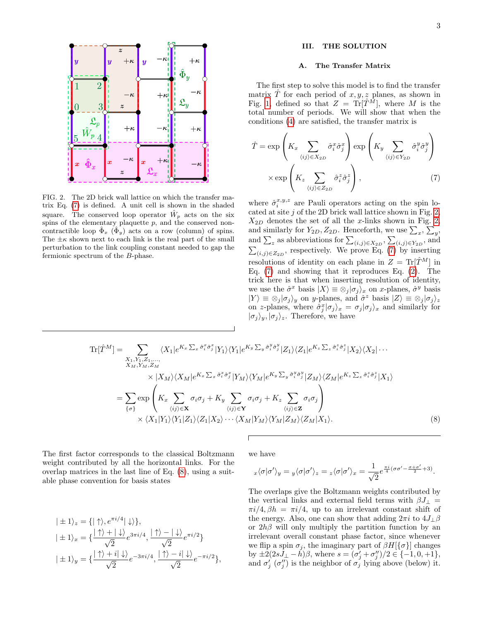

<span id="page-2-3"></span>FIG. 2. The 2D brick wall lattice on which the transfer matrix Eq. [\(7\)](#page-2-2) is defined. A unit cell is shown in the shaded square. The conserved loop operator  $\hat{W}_p$  acts on the six spins of the elementary plaquette  $p$ , and the conserved noncontractible loop  $\Phi_x$  ( $\Phi_y$ ) acts on a row (column) of spins. The  $\pm \kappa$  shown next to each link is the real part of the small perturbation to the link coupling constant needed to gap the fermionic spectrum of the B-phase.

## <span id="page-2-0"></span>III. THE SOLUTION

#### <span id="page-2-1"></span>A. The Transfer Matrix

The first step to solve this model is to find the transfer matrix  $\hat{T}$  for each period of  $x, y, z$  planes, as shown in Fig. [1,](#page-1-0) defined so that  $Z = \text{Tr}[\hat{T}^M]$ , where M is the total number of periods. We will show that when the conditions [\(4\)](#page-1-2) are satisfied, the transfer matrix is

<span id="page-2-2"></span>
$$
\hat{T} = \exp\left(K_x \sum_{\langle ij \rangle \in X_{2D}} \hat{\sigma}_i^x \hat{\sigma}_j^x\right) \exp\left(K_y \sum_{\langle ij \rangle \in Y_{2D}} \hat{\sigma}_i^y \hat{\sigma}_j^y\right) \times \exp\left(K_z \sum_{\langle ij \rangle \in Z_{2D}} \hat{\sigma}_i^z \hat{\sigma}_j^z\right),
$$
\n(7)

where  $\hat{\sigma}_i^{x,y,z}$  are Pauli operators acting on the spin located at site  $j$  of the 2D brick wall lattice shown in Fig. [2,](#page-2-3)  $X_{2D}$  denotes the set of all the x-links shown in Fig. [2,](#page-2-3) and similarly for  $Y_{2D}, Z_{2D}$ . Henceforth, we use  $\sum_{x}$ ,  $\sum_{y}$ , and similarly for  $T_2D, Z_2D$ . Henceforth, we use  $\sum_x$ ,  $\sum_y$ ,<br>and  $\sum_z$  as abbreviations for  $\sum_{(i,j)\in X_{2D}}$ ,  $\sum_{(i,j)\in Y_{2D}}$ , and  $\sum_{(i,j)\in Z_{2D}}$ , respectively. We prove Eq. [\(7\)](#page-2-2) by inserting resolutions of identity on each plane in  $Z = \text{Tr}[\hat{T}^M]$  in Eq. [\(7\)](#page-2-2) and showing that it reproduces Eq. [\(2\)](#page-1-4). The trick here is that when inserting resolution of identity, we use the  $\hat{\sigma}^x$  basis  $|X\rangle \equiv \otimes_j |\sigma_j\rangle_x$  on x-planes,  $\hat{\sigma}^y$  basis  $|Y\rangle \equiv \otimes_j |\sigma_j\rangle_y$  on y-planes, and  $\hat{\sigma}^z$  basis  $|Z\rangle \equiv \otimes_j |\sigma_j\rangle_z$ on z-planes, where  $\hat{\sigma}_j^x | \sigma_j \rangle_x = \sigma_j | \sigma_j \rangle_x$  and similarly for  $|\sigma_i\rangle_u, |\sigma_j\rangle_z$ . Therefore, we have

<span id="page-2-4"></span>
$$
\text{Tr}[\hat{T}^{M}] = \sum_{\substack{X_{1}, Y_{1}, Z_{1}, \ldots, \\ X_{M}, Y_{M}, Z_{M}}} \langle X_{1}|e^{K_{x}\sum_{x}\hat{\sigma}_{i}^{x}\hat{\sigma}_{j}^{x}}|Y_{1}\rangle\langle Y_{1}|e^{K_{y}\sum_{y}\hat{\sigma}_{i}^{y}\hat{\sigma}_{j}^{y}}|Z_{1}\rangle\langle Z_{1}|e^{K_{z}\sum_{z}\hat{\sigma}_{i}^{z}\hat{\sigma}_{j}^{z}}|X_{2}\rangle\langle X_{2}| \cdots
$$
\n
$$
\times |X_{M}\rangle\langle X_{M}|e^{K_{x}\sum_{x}\hat{\sigma}_{i}^{x}\hat{\sigma}_{j}^{x}}|Y_{M}\rangle\langle Y_{M}|e^{K_{y}\sum_{y}\hat{\sigma}_{i}^{y}\hat{\sigma}_{j}^{y}}|Z_{M}\rangle\langle Z_{M}|e^{K_{z}\sum_{z}\hat{\sigma}_{i}^{z}\hat{\sigma}_{j}^{z}}|X_{1}\rangle
$$
\n
$$
= \sum_{\{\sigma\}} \exp\left(K_{x}\sum_{\langle ij\rangle \in \mathbf{X}} \sigma_{i}\sigma_{j} + K_{y}\sum_{\langle ij\rangle \in \mathbf{Y}} \sigma_{i}\sigma_{j} + K_{z}\sum_{\langle ij\rangle \in \mathbf{Z}} \sigma_{i}\sigma_{j}\right)
$$
\n
$$
\times \langle X_{1}|Y_{1}\rangle\langle Y_{1}|Z_{1}\rangle\langle Z_{1}|X_{2}\rangle\cdots\langle X_{M}|Y_{M}\rangle\langle Y_{M}|Z_{M}\rangle\langle Z_{M}|X_{1}\rangle. \tag{8}
$$

The first factor corresponds to the classical Boltzmann weight contributed by all the horizontal links. For the overlap matrices in the last line of Eq. [\(8\)](#page-2-4), using a suitable phase convention for basis states

<span id="page-2-5"></span>
$$
|\pm 1\rangle_z = \{|\uparrow\rangle, e^{\pi i/4}|\downarrow\rangle\},
$$
  
\n
$$
|\pm 1\rangle_x = \{\frac{|\uparrow\rangle + |\downarrow\rangle}{\sqrt{2}} e^{3\pi i/4}, \frac{|\uparrow\rangle - |\downarrow\rangle}{\sqrt{2}} e^{\pi i/2}\}
$$
  
\n
$$
|\pm 1\rangle_y = \{\frac{|\uparrow\rangle + i|\downarrow\rangle}{\sqrt{2}} e^{-3\pi i/4}, \frac{|\uparrow\rangle - i|\downarrow\rangle}{\sqrt{2}} e^{-\pi i/2}\},
$$

we have

$$
{}_x\langle\sigma|\sigma'\rangle_y={}_y\langle\sigma|\sigma'\rangle_z={}_z\langle\sigma|\sigma'\rangle_x=\frac{1}{\sqrt{2}}e^{\frac{\pi i}{4}(\sigma\sigma'-\frac{\sigma+\sigma'}{2}+3)}.
$$

The overlaps give the Boltzmann weights contributed by the vertical links and external field terms with  $\beta J_{\perp}$  =  $\pi i/4$ ,  $\beta h = \pi i/4$ , up to an irrelevant constant shift of the energy. Also, one can show that adding  $2\pi i$  to  $4J_{\perp}\beta$ or  $2h\beta$  will only multiply the partition function by an irrelevant overall constant phase factor, since whenever we flip a spin  $\sigma_i$ , the imaginary part of  $\beta H[\{\sigma\}]$  changes by  $\pm 2(2sJ_{\perp}-\tilde{h})\beta$ , where  $s=(\sigma'_j+\sigma''_j)/2 \in \{-1,0,+1\}$ , and  $\sigma'_{j}(\sigma''_{j})$  is the neighbor of  $\sigma'_{j}$  lying above (below) it.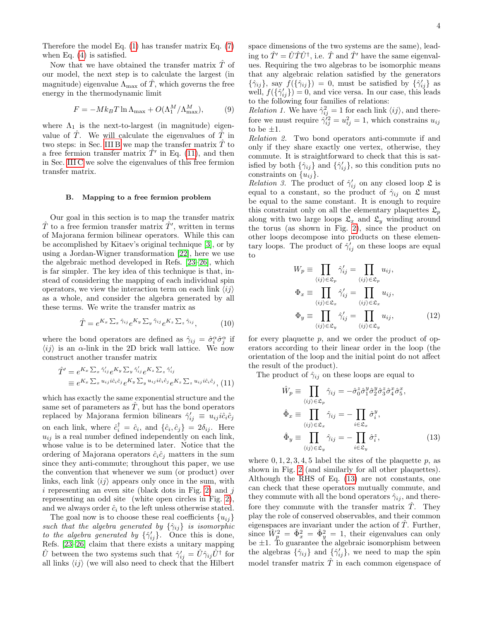Therefore the model Eq. [\(1\)](#page-1-5) has transfer matrix Eq. [\(7\)](#page-2-2) when Eq. [\(4\)](#page-1-2) is satisfied.

Now that we have obtained the transfer matrix  $\hat{T}$  of our model, the next step is to calculate the largest (in magnitude) eigenvalue  $\Lambda_{\text{max}}$  of T<sup> $\tau$ </sup>, which governs the free energy in the thermodynamic limit

$$
F = -Mk_BT \ln \Lambda_{\text{max}} + O(\Lambda_1^M / \Lambda_{\text{max}}^M),\tag{9}
$$

where  $\Lambda_1$  is the next-to-largest (in magnitude) eigenvalue of  $\hat{T}$ . We will calculate the eigenvalues of  $\hat{T}$  in two steps: in Sec. [III B](#page-3-0) we map the transfer matrix  $T$  to a free fermion transfer matrix  $\hat{T}'$  in Eq. [\(11\)](#page-3-1), and then in Sec. [III C](#page-4-0) we solve the eigenvalues of this free fermion transfer matrix.

#### <span id="page-3-0"></span>B. Mapping to a free fermion problem

Our goal in this section is to map the transfer matrix  $\hat{T}$  to a free fermion transfer matrix  $\hat{T}'$ , written in terms of Majorana fermion bilinear operators. While this can be accomplished by Kitaev's original technique [\[3\]](#page-17-2), or by using a Jordan-Wigner transformation [\[22\]](#page-17-16), here we use the algebraic method developed in Refs. [\[23](#page-17-17)[–26\]](#page-17-18), which is far simpler. The key idea of this technique is that, instead of considering the mapping of each individual spin operators, we view the interaction term on each link  $\langle ij \rangle$ as a whole, and consider the algebra generated by all these terms. We write the transfer matrix as

$$
\hat{T} = e^{K_x \sum_x \hat{\gamma}_{ij}} e^{K_y \sum_y \hat{\gamma}_{ij}} e^{K_z \sum_z \hat{\gamma}_{ij}}, \tag{10}
$$

where the bond operators are defined as  $\hat{\gamma}_{ij} = \hat{\sigma}_i^{\alpha} \hat{\sigma}_j^{\alpha}$  if  $\langle ij \rangle$  is an  $\alpha$ -link in the 2D brick wall lattice. We now construct another transfer matrix

<span id="page-3-1"></span>
$$
\hat{T}' = e^{K_x \sum_x \hat{\gamma}'_{ij}} e^{K_y \sum_y \hat{\gamma}'_{ij}} e^{K_z \sum_z \hat{\gamma}'_{ij}}
$$
\n
$$
\equiv e^{K_x \sum_x u_{ij} i\hat{c}_i \hat{c}_j} e^{K_y \sum_y u_{ij} i\hat{c}_i \hat{c}_j} e^{K_z \sum_z u_{ij} i\hat{c}_i \hat{c}_j},
$$
\n(11)

which has exactly the same exponential structure and the same set of parameters as  $T$ , but has the bond operators replaced by Majorana fermion bilinears  $\hat{\gamma}'_{ij} \equiv u_{ij} i \hat{c}_i \hat{c}_j$ on each link, where  $\hat{c}_i^{\dagger} = \hat{c}_i$ , and  $\{\hat{c}_i, \hat{c}_j\} = 2\delta_{ij}$ . Here  $u_{ij}$  is a real number defined independently on each link, whose value is to be determined later. Notice that the ordering of Majorana operators  $\hat{c}_i \hat{c}_j$  matters in the sum since they anti-commute; throughout this paper, we use the convention that whenever we sum (or product) over links, each link  $\langle ij \rangle$  appears only once in the sum, with i representing an even site (black dots in Fig. [2\)](#page-2-3) and  $j$ representing an odd site (white open circles in Fig. [2\)](#page-2-3), and we always order  $\hat{c}_i$  to the left unless otherwise stated.

The goal now is to choose these real coefficients  $\{u_{ij}\}$ such that the algebra generated by  $\{\hat{\gamma}_{ij}\}$  is isomorphic to the algebra generated by  $\{\hat{\gamma}'_{ij}\}.$  Once this is done, Refs. [\[23](#page-17-17)[–26\]](#page-17-18) claim that there exists a unitary mapping  $\hat{U}$  between the two systems such that  $\hat{\gamma}'_{ij} = \hat{U}\hat{\gamma}_{ij}\hat{U}^{\dagger}$  for all links  $\langle ij \rangle$  (we will also need to check that the Hilbert space dimensions of the two systems are the same), leading to  $\hat{T}' = \hat{U}\hat{T}\hat{U}^{\dagger}$ , i.e.  $\hat{T}$  and  $\hat{T}'$  have the same eigenvalues. Requiring the two algebras to be isomorphic means that any algebraic relation satisfied by the generators  $\{\hat{\gamma}_{ij}\}\text{, say }f(\{\hat{\gamma}_{ij}\})=0\text{, must be satisfied by }\{\hat{\gamma}_{ij}'\}\text{ as }$ well,  $f(\{\hat{\gamma}_{ij}'\}) = 0$ , and vice versa. In our case, this leads to the following four families of relations:

*Relation 1*. We have  $\hat{\gamma}_{ij}^2 = 1$  for each link  $\langle ij \rangle$ , and therefore we must require  $\hat{\gamma}_{ij}^{2} = u_{ij}^{2} = 1$ , which constrains  $u_{ij}$ to be  $\pm 1$ .

Relation 2. Two bond operators anti-commute if and only if they share exactly one vertex, otherwise, they commute. It is straightforward to check that this is satisfied by both  $\{\hat{\gamma}_{ij}\}\$ and  $\{\hat{\gamma}'_{ij}\}\$ , so this condition puts no constraints on  $\{u_{ij}\}.$ 

Relation 3. The product of  $\hat{\gamma}_{ij}$  on any closed loop  $\mathfrak{L}$  is equal to a constant, so the product of  $\hat{\gamma}_{ij}$  on  $\mathfrak L$  must be equal to the same constant. It is enough to require this constraint only on all the elementary plaquettes  $\mathfrak{L}_p$ along with two large loops  $\mathfrak{L}_x$  and  $\mathfrak{L}_y$  winding around the torus (as shown in Fig. [2\)](#page-2-3), since the product on other loops decompose into products on these elementary loops. The product of  $\hat{\gamma}'_{ij}$  on these loops are equal to

<span id="page-3-3"></span>
$$
W_p \equiv \prod_{\langle ij \rangle \in \mathfrak{L}_p} \hat{\gamma}'_{ij} = \prod_{\langle ij \rangle \in \mathfrak{L}_p} u_{ij},
$$
  
\n
$$
\Phi_x \equiv \prod_{\langle ij \rangle \in \mathfrak{L}_x} \hat{\gamma}'_{ij} = \prod_{\langle ij \rangle \in \mathfrak{L}_x} u_{ij},
$$
  
\n
$$
\Phi_y \equiv \prod_{\langle ij \rangle \in \mathfrak{L}_y} \hat{\gamma}'_{ij} = \prod_{\langle ij \rangle \in \mathfrak{L}_y} u_{ij},
$$
\n(12)

for every plaquette p, and we order the product of operators according to their linear order in the loop (the orientation of the loop and the initial point do not affect the result of the product).

The product of  $\hat{\gamma}_{ij}$  on these loops are equal to

<span id="page-3-2"></span>
$$
\hat{W}_p \equiv \prod_{\langle ij \rangle \in \mathfrak{L}_p} \hat{\gamma}_{ij} = -\hat{\sigma}_0^z \hat{\sigma}_1^y \hat{\sigma}_2^y \hat{\sigma}_3^z \hat{\sigma}_4^x \hat{\sigma}_5^x,
$$
\n
$$
\hat{\Phi}_x \equiv \prod_{\langle ij \rangle \in \mathfrak{L}_x} \hat{\gamma}_{ij} = -\prod_{i \in \mathfrak{L}_x} \hat{\sigma}_i^y,
$$
\n
$$
\hat{\Phi}_y \equiv \prod_{\langle ij \rangle \in \mathfrak{L}_y} \hat{\gamma}_{ij} = -\prod_{i \in \mathfrak{L}_y} \hat{\sigma}_i^z,
$$
\n(13)

where  $0, 1, 2, 3, 4, 5$  label the sites of the plaquette p, as shown in Fig. [2](#page-2-3) (and similarly for all other plaquettes). Although the RHS of Eq. [\(13\)](#page-3-2) are not constants, one can check that these operators mutually commute, and they commute with all the bond operators  $\hat{\gamma}_{ij}$ , and therefore they commute with the transfer matrix  $T$ . They play the role of conserved observables, and their common eigenspaces are invariant under the action of  $\tilde{T}$ . Further, since  $\hat{W}_p^2 = \hat{\Phi}_x^2 = \hat{\Phi}_y^2 = 1$ , their eigenvalues can only be  $\pm 1$ . To guarantee the algebraic isomorphism between the algebras  $\{\hat{\gamma}_{ij}\}\$  and  $\{\hat{\gamma}'_{ij}\}\$ , we need to map the spin model transfer matrix  $\overline{T}$  in each common eigenspace of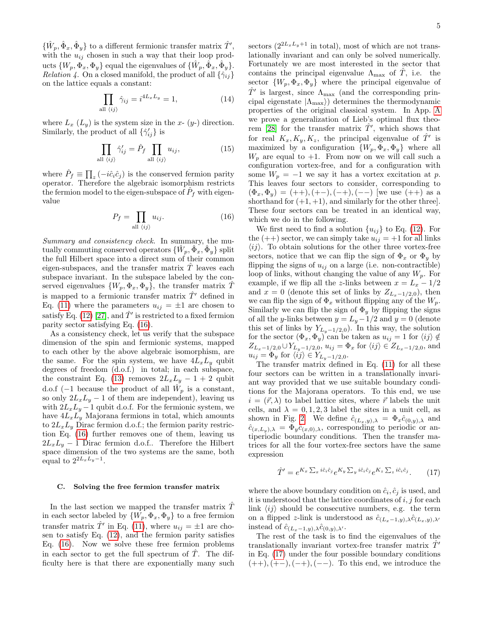$\{\hat{W}_p, \hat{\Phi}_x, \hat{\Phi}_y\}$  to a different fermionic transfer matrix  $\hat{T}'$ , with the  $u_{ij}$  chosen in such a way that their loop products  $\{W_p, \Phi_x, \Phi_y\}$  equal the eigenvalues of  $\{\hat{W}_p, \hat{\Phi}_x, \hat{\Phi}_y\}.$ *Relation 4.* On a closed manifold, the product of all  $\{\hat{\gamma}_{ij}\}$ on the lattice equals a constant:

$$
\prod_{\text{all } \langle ij \rangle} \hat{\gamma}_{ij} = i^{4L_x L_y} = 1,\tag{14}
$$

where  $L_x(L_y)$  is the system size in the x-  $(y)$  direction. Similarly, the product of all  $\{\hat{\gamma}'_{ij}\}$  is

$$
\prod_{\text{all } \langle ij \rangle} \hat{\gamma}'_{ij} = \hat{P}_f \prod_{\text{all } \langle ij \rangle} u_{ij}, \tag{15}
$$

where  $\hat{P}_f \equiv \prod_z \left(-i\hat{c}_i\hat{c}_j\right)$  is the conserved fermion parity operator. Therefore the algebraic isomorphism restricts the fermion model to the eigen-subspace of  $\hat{P}_f$  with eigenvalue

<span id="page-4-1"></span>
$$
P_f = \prod_{\text{all } \langle ij \rangle} u_{ij}.
$$
 (16)

Summary and consistency check. In summary, the mutually commuting conserved operators  $\{\hat{W}_p, \hat{\Phi}_x, \hat{\Phi}_y\}$  split the full Hilbert space into a direct sum of their common eigen-subspaces, and the transfer matrix  $\hat{T}$  leaves each subspace invariant. In the subspace labeled by the conserved eigenvalues  $\{W_p, \Phi_x, \Phi_y\}$ , the transfer matrix T is mapped to a fermionic transfer matrix  $\hat{T}'$  defined in Eq. [\(11\)](#page-3-1) where the parameters  $u_{ij} = \pm 1$  are chosen to satisfy Eq. [\(12\)](#page-3-3) [\[27\]](#page-17-19), and  $\hat{T}'$  is restricted to a fixed fermion parity sector satisfying Eq. [\(16\)](#page-4-1).

As a consistency check, let us verify that the subspace dimension of the spin and fermionic systems, mapped to each other by the above algebraic isomorphism, are the same. For the spin system, we have  $4L_xL_y$  qubit degrees of freedom (d.o.f.) in total; in each subspace, the constraint Eq. [\(13\)](#page-3-2) removes  $2L_xL_y - 1 + 2$  qubit d.o.f (-1 because the product of all  $\hat{W}_p$  is a constant, so only  $2L_xL_y - 1$  of them are independent), leaving us with  $2L_xL_y - 1$  qubit d.o.f. For the fermionic system, we have  $4L_xL_y$  Majorana fermions in total, which amounts to  $2L_xL_y$  Dirac fermion d.o.f.; the fermion parity restriction Eq. [\(16\)](#page-4-1) further removes one of them, leaving us  $2L_xL_y - 1$  Dirac fermion d.o.f.. Therefore the Hilbert space dimension of the two systems are the same, both equal to  $2^{2L_xL_y-1}$ .

## <span id="page-4-0"></span>C. Solving the free fermion transfer matrix

In the last section we mapped the transfer matrix  $T^{\dagger}$ in each sector labeled by  $\{W_p, \Phi_x, \Phi_y\}$  to a free fermion transfer matrix  $\hat{T}'$  in Eq. [\(11\)](#page-3-1), where  $u_{ij} = \pm 1$  are chosen to satisfy Eq. [\(12\)](#page-3-3), and the fermion parity satisfies Eq. [\(16\)](#page-4-1). Now we solve these free fermion problems in each sector to get the full spectrum of  $\overline{T}$ . The difficulty here is that there are exponentially many such sectors  $(2^{2L_xL_y+1}$  in total), most of which are not translationally invariant and can only be solved numerically. Fortunately we are most interested in the sector that contains the principal eigenvalue  $\Lambda_{\text{max}}$  of  $\hat{T}$ , i.e. the sector  ${W_p, \Phi_x, \Phi_y}$  where the principal eigenvalue of  $\hat{T}'$  is largest, since  $\Lambda_{\text{max}}$  (and the corresponding principal eigenstate  $|\Lambda_{\text{max}}\rangle$  determines the thermodynamic properties of the original classical system. In App. [A](#page-11-0) we prove a generalization of Lieb's optimal flux theo-rem [\[28\]](#page-17-20) for the transfer matrix  $\hat{T}'$ , which shows that for real  $K_x, K_y, K_z$ , the principal eigenvalue of  $\hat{T}'$  is maximized by a configuration  $\{W_p, \Phi_x, \Phi_y\}$  where all  $W_n$  are equal to  $+1$ . From now on we will call such a configuration vortex-free, and for a configuration with some  $W_p = -1$  we say it has a vortex excitation at p. This leaves four sectors to consider, corresponding to  $(\Phi_x, \Phi_y) = (++), (+-), (-+), (--)$  [we use  $(++)$  as a shorthand for  $(+1, +1)$ , and similarly for the other three. These four sectors can be treated in an identical way, which we do in the following.

We first need to find a solution  $\{u_{ij}\}\$  to Eq. [\(12\)](#page-3-3). For the  $(++)$  sector, we can simply take  $u_{ij} = +1$  for all links  $\langle ij \rangle$ . To obtain solutions for the other three vortex-free sectors, notice that we can flip the sign of  $\Phi_x$  or  $\Phi_y$  by flipping the signs of  $u_{ij}$  on a large (i.e. non-contractible) loop of links, without changing the value of any  $W_p$ . For example, if we flip all the z-links between  $x = L_x - 1/2$ and  $x = 0$  (denote this set of links by  $Z_{L_x-1/2,0}$ ), then we can flip the sign of  $\Phi_x$  without flipping any of the  $W_p$ . Similarly we can flip the sign of  $\Phi_y$  by flipping the signs of all the y-links between  $y = L_y - 1/2$  and  $y = 0$  (denote this set of links by  $Y_{L_y-1/2,0}$ ). In this way, the solution for the sector  $(\Phi_x, \Phi_y)$  can be taken as  $u_{ij} = 1$  for  $\langle ij \rangle \notin$  $Z_{L_x-1/2,0} \cup Y_{L_y-1/2,0}, u_{ij} = \Phi_x$  for  $\langle ij \rangle \in Z_{L_x-1/2,0}$ , and  $u_{ij} = \Phi_y$  for  $\langle ij \rangle \in Y_{L_y-1/2,0}$ .

The transfer matrix defined in Eq. [\(11\)](#page-3-1) for all these four sectors can be written in a translationally invariant way provided that we use suitable boundary conditions for the Majorana operators. To this end, we use  $i = (\vec{r}, \lambda)$  to label lattice sites, where  $\vec{r}$  labels the unit cells, and  $\lambda = 0, 1, 2, 3$  label the sites in a unit cell, as shown in Fig. [2.](#page-2-3) We define  $\hat{c}_{(L_x,y),\lambda} = \Phi_x \hat{c}_{(0,y),\lambda}$  and  $\hat{c}_{(x,L_y),\lambda} = \Phi_y \hat{c}_{(x,0),\lambda}$ , corresponding to periodic or antiperiodic boundary conditions. Then the transfer matrices for all the four vortex-free sectors have the same expression

<span id="page-4-2"></span>
$$
\hat{T}' = e^{K_x \sum_x i\hat{c}_i \hat{c}_j} e^{K_y \sum_y i\hat{c}_i \hat{c}_j} e^{K_z \sum_z i\hat{c}_i \hat{c}_j}.
$$
 (17)

where the above boundary condition on  $\hat{c}_i, \hat{c}_j$  is used, and it is understood that the lattice coordinates of  $i, j$  for each link  $\langle ij \rangle$  should be consecutive numbers, e.g. the term on a flipped z-link is understood as  $\hat{c}_{(L_x-1,y),\lambda}\hat{c}_{(L_x,y),\lambda'}$ instead of  $\hat{c}_{(L_x-1,y),\lambda}\hat{c}_{(0,y),\lambda'}$ .

The rest of the task is to find the eigenvalues of the translationally invariant vortex-free transfer matrix  $T'$ in Eq. [\(17\)](#page-4-2) under the four possible boundary conditions  $(++), (+-), (-+), (--)$ . To this end, we introduce the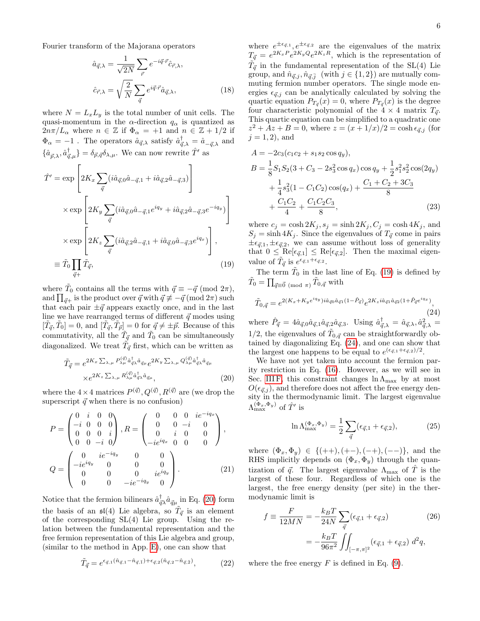Fourier transform of the Majorana operators

$$
\hat{a}_{\vec{q},\lambda} = \frac{1}{\sqrt{2N}} \sum_{\vec{r}} e^{-i\vec{q}\cdot\vec{r}} \hat{c}_{\vec{r},\lambda},
$$

$$
\hat{c}_{\vec{r},\lambda} = \sqrt{\frac{2}{N}} \sum_{\vec{q}} e^{i\vec{q}\cdot\vec{r}} \hat{a}_{\vec{q},\lambda},
$$
(18)

where  $N = L_xL_y$  is the total number of unit cells. The quasi-momentum in the  $\alpha$ -direction  $q_{\alpha}$  is quantized as  $2n\pi/L_\alpha$  where  $n \in \mathbb{Z}$  if  $\Phi_\alpha = +1$  and  $n \in \mathbb{Z} + 1/2$  if  $\Phi_{\alpha} = -1$ . The operators  $\hat{a}_{\vec{q},\lambda}$  satisfy  $\hat{a}_{\vec{q},\lambda}^{\dagger} = \hat{a}_{-\vec{q},\lambda}$  and  $\{\hat{a}_{\vec{p},\lambda}, \hat{a}^{\dagger}_{\vec{q},\mu}\} = \delta_{\vec{p},\vec{q}} \delta_{\lambda,\mu}$ . We can now rewrite  $\hat{T}'$  as  $\hat{T}' = \exp$  $\lceil$  $2K_x\sum$  $\bar{q}$  $(i\hat{a}_{\vec{q},0}\hat{a}_{-\vec{q},1} + i\hat{a}_{\vec{q},2}\hat{a}_{-\vec{q},3})$ 1  $\vert$ 

<span id="page-5-1"></span>
$$
\times \exp\left[2K_y \sum_{\vec{q}} (i\hat{a}_{\vec{q},0}\hat{a}_{-\vec{q},1}e^{iq_y} + i\hat{a}_{\vec{q},2}\hat{a}_{-\vec{q},3}e^{-iq_y})\right]
$$

$$
\times \exp\left[2K_z \sum_{\vec{q}} (i\hat{a}_{\vec{q},2}\hat{a}_{-\vec{q},1} + i\hat{a}_{\vec{q},0}\hat{a}_{-\vec{q},3}e^{iq_x})\right],
$$

$$
\equiv \tilde{T}_0 \prod_{\vec{q}+\tilde{q}} \tilde{T}_{\vec{q}},
$$
(19)

where  $\tilde{T}_0$  contains all the terms with  $\vec{q} \equiv -\vec{q} \pmod{2\pi}$ , and  $\prod_{\vec{q}\,+\,}$  is the product over  $\vec{q}$  with  $\vec{q} \not\equiv -\vec{q} \, (\text{mod } 2\pi)$  such that each pair  $\pm \vec{q}$  appears exactly once, and in the last line we have rearranged terms of different  $\vec{q}$  modes using  $[\tilde{T}_{\vec{q}}, \tilde{T}_0] = 0$ , and  $[\tilde{T}_{\vec{q}}, \tilde{T}_{\vec{p}}] = 0$  for  $\vec{q} \neq \pm \vec{p}$ . Because of this commutativity, all the  $\tilde{T}_{\vec{q}}$  and  $\tilde{T}_0$  can be simultaneously diagonalized. We treat  $\tilde{T}_{\vec{q}}$  first, which can be written as

<span id="page-5-0"></span>
$$
\tilde{T}_{\vec{q}} = e^{2K_x \sum_{\lambda,\mu} P_{\lambda\mu}^{(\vec{q})} \hat{a}_{\vec{q}\lambda}^{\dagger} \hat{a}_{\vec{q}\mu}} e^{2K_y \sum_{\lambda,\mu} Q_{\lambda\mu}^{(\vec{q})} \hat{a}_{\vec{q}\lambda}^{\dagger} \hat{a}_{\vec{q}\mu}}
$$
\n
$$
\times e^{2K_z \sum_{\lambda,\mu} R_{\lambda\mu}^{(\vec{q})} \hat{a}_{\vec{q}\lambda}^{\dagger} \hat{a}_{\vec{q}\mu}},
$$
\n(20)

where the  $4 \times 4$  matrices  $P^{(\vec{q})}, Q^{(\vec{q})}, R^{(\vec{q})}$  are (we drop the superscript  $\vec{q}$  when there is no confusion)

<span id="page-5-6"></span>
$$
P = \begin{pmatrix} 0 & i & 0 & 0 \\ -i & 0 & 0 & 0 \\ 0 & 0 & 0 & i \\ 0 & 0 & -i & 0 \end{pmatrix}, R = \begin{pmatrix} 0 & 0 & 0 & ie^{-iq_x} \\ 0 & 0 & -i & 0 \\ 0 & i & 0 & 0 \\ -ie^{iq_x} & 0 & 0 & 0 \\ 0 & 0 & 0 & ie^{iq_y} \\ 0 & 0 & -ie^{-iq_y} & 0 \end{pmatrix},
$$
\n
$$
Q = \begin{pmatrix} 0 & ie^{-iq_y} & 0 & 0 \\ -ie^{iq_y} & 0 & 0 & 0 \\ 0 & 0 & -ie^{-iq_y} & 0 \\ 0 & 0 & -ie^{-iq_y} & 0 \end{pmatrix}.
$$
\n(21)

Notice that the fermion bilinears  $\hat{a}^{\dagger}_{\vec{q}} \hat{a}_{\vec{q}\mu}$  in Eq. [\(20\)](#page-5-0) form the basis of an  $\mathfrak{sl}(4)$  Lie algebra, so  $\tilde{T}_{\vec{q}}$  is an element of the corresponding SL(4) Lie group. Using the relation between the fundamental representation and the free fermion representation of this Lie algebra and group, (similar to the method in App. [E\)](#page-15-0), one can show that

$$
\tilde{T}_{\vec{q}} = e^{\epsilon_{\vec{q},1}(\hat{n}_{\vec{q},1} - \hat{n}_{\vec{q},1}) + \epsilon_{\vec{q},2}(\hat{n}_{\vec{q},2} - \hat{n}_{\vec{q},2})},
$$
\n(22)

where  $e^{\pm\epsilon_{\vec{q},1}}, e^{\pm\epsilon_{\vec{q},2}}$  are the eigenvalues of the matrix  $T_{\vec{q}} = e^{2K_x P} e^{2K_y Q} e^{2K_z R}$ , which is the representation of  $\tilde{T}_{\vec{q}}$  in the fundamental representation of the SL(4) Lie group, and  $\hat{n}_{\vec{q},j}, \hat{n}_{\vec{q},\vec{j}}$  (with  $j \in \{1,2\}$ ) are mutually commuting fermion number operators. The single mode energies  $\epsilon_{\vec{\alpha},j}$  can be analytically calculated by solving the quartic equation  $P_{T_{\vec{q}}}(x) = 0$ , where  $P_{T_{\vec{q}}}(x)$  is the degree four characteristic polynomial of the  $4 \times 4$  matrix  $T_{\vec{q}}$ . This quartic equation can be simplified to a quadratic one  $z^{2} + Az + B = 0$ , where  $z = (x + 1/x)/2 = \cosh \epsilon_{\vec{q},j}$  (for  $j = 1, 2$ , and

<span id="page-5-4"></span>
$$
A = -2c_3(c_1c_2 + s_1s_2\cos q_y),
$$
  
\n
$$
B = \frac{1}{8}S_1S_2(3 + C_3 - 2s_3^2\cos q_x)\cos q_y + \frac{1}{2}s_1^2s_2^2\cos(2q_y)
$$
  
\n
$$
+ \frac{1}{4}s_3^2(1 - C_1C_2)\cos(q_x) + \frac{C_1 + C_2 + 3C_3}{8}
$$
  
\n
$$
+ \frac{C_1C_2}{4} + \frac{C_1C_2C_3}{8},
$$
\n(23)

where  $c_j = \cosh 2K_j$ ,  $s_j = \sinh 2K_j$ ,  $C_j = \cosh 4K_j$ , and  $S_j = \sinh 4K_j$ . Since the eigenvalues of  $T_{\vec{q}}$  come in pairs  $\pm \epsilon_{\vec{q},1}, \pm \epsilon_{\vec{q},2}$ , we can assume without loss of generality that  $0 \leq \text{Re}[\epsilon_{\vec{q},1}] \leq \text{Re}[\epsilon_{\vec{q},2}]$ . Then the maximal eigenvalue of  $\tilde{T}_{\vec{q}}$  is  $e^{\epsilon_{\vec{q},1}+\epsilon_{\vec{q},2}}$ .

The term  $\tilde{T}_0$  in the last line of Eq. [\(19\)](#page-5-1) is defined by  $\tilde{T}_0 = \prod_{\vec{q} \equiv \vec{0} \pmod{\pi}} \tilde{T}_{0,\vec{q}}$  with

<span id="page-5-2"></span>
$$
\tilde{T}_{0,\vec{q}} = e^{2(K_x + K_y e^{iq_y})i\hat{a}_{\vec{q}0}\hat{a}_{\vec{q}1}(1 - \hat{P}_{\vec{q}})} e^{2K_z i\hat{a}_{\vec{q}1}\hat{a}_{\vec{q}2}(1 + \hat{P}_{\vec{q}}e^{iq_x})},
$$
\n(24)

where  $\hat{P}_{\vec{q}} = 4\hat{a}_{\vec{q},0}\hat{a}_{\vec{q},1}\hat{a}_{\vec{q},2}\hat{a}_{\vec{q},3}$ . Using  $\hat{a}^{\dagger}_{\vec{q},\lambda} = \hat{a}_{\vec{q},\lambda}, \hat{a}_{\vec{q},\lambda}^2 =$ 1/2, the eigenvalues of  $\tilde{T}_{0,\vec{q}}$  can be straightforwardly obtained by diagonalizing Eq. [\(24\)](#page-5-2), and one can show that the largest one happens to be equal to  $e^{(\epsilon_{\vec{q},1}+\epsilon_{\vec{q},2})/2}$ .

We have not yet taken into account the fermion parity restriction in Eq. [\(16\)](#page-4-1). However, as we will see in Sec. [III F,](#page-7-1) this constraint changes  $\ln \Lambda_{\text{max}}$  by at most  $O(\epsilon_{\vec{q},j})$ , and therefore does not affect the free energy density in the thermodynamic limit. The largest eigenvalue  $\Lambda_{\max}^{(\Phi_x,\Phi_y)}$  of  $\hat T'$  is

<span id="page-5-5"></span>
$$
\ln \Lambda_{\max}^{(\Phi_x, \Phi_y)} = \frac{1}{2} \sum_{\vec{q}} (\epsilon_{\vec{q},1} + \epsilon_{\vec{q},2}), \tag{25}
$$

where  $(\Phi_x, \Phi_y) \in \{(++), (+-), (-+), (--)\},\$ and the RHS implicitly depends on  $(\Phi_x, \Phi_y)$  through the quantization of  $\vec{q}$ . The largest eigenvalue  $\Lambda_{\text{max}}$  of  $\hat{T}$  is the largest of these four. Regardless of which one is the largest, the free energy density (per site) in the thermodynamic limit is

<span id="page-5-3"></span>
$$
f \equiv \frac{F}{12MN} = -\frac{k_B T}{24N} \sum_{\vec{q}} (\epsilon_{\vec{q},1} + \epsilon_{\vec{q},2})
$$
(26)  

$$
= -\frac{k_B T}{96\pi^2} \iint_{[-\pi,\pi]^2} (\epsilon_{\vec{q},1} + \epsilon_{\vec{q},2}) d^2 q,
$$

where the free energy  $F$  is defined in Eq. [\(9\)](#page-2-5).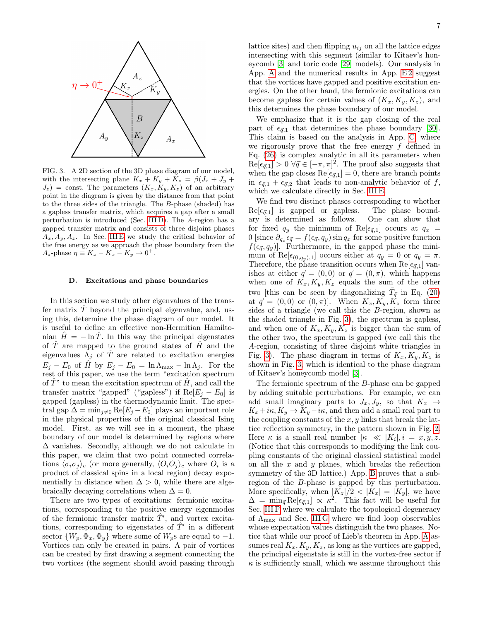

<span id="page-6-1"></span>FIG. 3. A 2D section of the 3D phase diagram of our model, with the intersecting plane  $K_x + K_y + K_z = \beta(J_x + J_y + \beta)$  $J_z$ ) = const. The parameters  $(K_x, K_y, K_z)$  of an arbitrary point in the diagram is given by the distance from that point to the three sides of the triangle. The B-phase (shaded) has a gapless transfer matrix, which acquires a gap after a small perturbation is introduced (Sec. [III D\)](#page-6-0). The A-region has a gapped transfer matrix and consists of three disjoint phases  $A_x, A_y, A_z$ . In Sec. [III E](#page-7-0) we study the critical behavior of the free energy as we approach the phase boundary from the  $A_z$ -phase  $\eta \equiv K_z - K_x - K_y \rightarrow 0^+$ .

#### <span id="page-6-0"></span>D. Excitations and phase boundaries

In this section we study other eigenvalues of the transfer matrix  $\hat{T}$  beyond the principal eigenvalue, and, using this, determine the phase diagram of our model. It is useful to define an effective non-Hermitian Hamiltonian  $H = -\ln T$ . In this way the principal eigenstates of  $\hat{T}$  are mapped to the ground states of  $\hat{H}$  and the eigenvalues  $\Lambda_i$  of  $\hat{T}$  are related to excitation energies  $E_j - E_0$  of  $\hat{H}$  by  $E_j - E_0 = \ln \Lambda_{\text{max}} - \ln \Lambda_j$ . For the rest of this paper, we use the term "excitation spectrum of  $\hat{T}$ <sup>"</sup> to mean the excitation spectrum of  $\hat{H}$ , and call the transfer matrix "gapped" ("gapless") if  $\text{Re}[E_j - E_0]$  is gapped (gapless) in the thermodynamic limit. The spectral gap  $\Delta = \min_{j\neq 0} \text{Re}[E_j - E_0]$  plays an important role in the physical properties of the original classical Ising model. First, as we will see in a moment, the phase boundary of our model is determined by regions where ∆ vanishes. Secondly, although we do not calculate in this paper, we claim that two point connected correlations  $\langle \sigma_i \sigma_j \rangle_c$  (or more generally,  $\langle O_i O_j \rangle_c$  where  $O_i$  is a product of classical spins in a local region) decay exponentially in distance when  $\Delta > 0$ , while there are algebraically decaying correlations when  $\Delta = 0$ .

There are two types of excitations: fermionic excitations, corresponding to the positive energy eigenmodes of the fermionic transfer matrix  $\hat{T}'$ , and vortex excitations, corresponding to eigenstates of  $\hat{T}'$  in a different sector  $\{W_n, \Phi_x, \Phi_y\}$  where some of  $W_p$ s are equal to -1. Vortices can only be created in pairs. A pair of vortices can be created by first drawing a segment connecting the two vortices (the segment should avoid passing through lattice sites) and then flipping  $u_{ij}$  on all the lattice edges intersecting with this segment (similar to Kitaev's honeycomb [\[3\]](#page-17-2) and toric code [\[29\]](#page-17-21) models). Our analysis in App. [A](#page-11-0) and the numerical results in App.  $E2$  suggest that the vortices have gapped and positive excitation energies. On the other hand, the fermionic excitations can become gapless for certain values of  $(K_x, K_y, K_z)$ , and this determines the phase boundary of our model.

We emphasize that it is the gap closing of the real part of  $\epsilon_{d,1}$  that determines the phase boundary [\[30\]](#page-17-22). This claim is based on the analysis in App. [C,](#page-13-0) where we rigorously prove that the free energy  $f$  defined in Eq. [\(26\)](#page-5-3) is complex analytic in all its parameters when  $\text{Re}[\epsilon_{\vec{q},1}] > 0 \,\forall \vec{q} \in [-\pi,\pi]^2$ . The proof also suggests that when the gap closes  $\text{Re}[\epsilon_{\vec{q},1}] = 0$ , there are branch points in  $\epsilon_{\vec{q},1} + \epsilon_{\vec{q},2}$  that leads to non-analytic behavior of f, which we calculate directly in Sec. [III E.](#page-7-0)

We find two distinct phases corresponding to whether  $\text{Re}[\epsilon_{\vec{q},1}]$  is gapped or gapless. The phase bound-<br>ary is determined as follows. One can show that ary is determined as follows. for fixed  $q_y$  the minimum of Re[ $\epsilon_{\vec{q},1}$ ] occurs at  $q_x$  = 0 [since  $\partial_{q_x} \epsilon_{\vec{q}} = f(\epsilon_{\vec{q}}, q_y) \sin q_x$  for some positive function  $f(\epsilon_{\vec{q}}, q_y)$ . Furthermore, in the gapped phase the minimum of Re[ $\epsilon_{(0,q_y),1}$ ] occurs either at  $q_y = 0$  or  $q_y = \pi$ . Therefore, the phase transition occurs when  $\text{Re}[\epsilon_{\vec{q},1}]$  vanishes at either  $\vec{q} = (0, 0)$  or  $\vec{q} = (0, \pi)$ , which happens when one of  $K_x, K_y, K_z$  equals the sum of the other two [this can be seen by diagonalizing  $\tilde{T}_{\vec{q}}$  in Eq. [\(20\)](#page-5-0) at  $\vec{q} = (0, 0)$  or  $(0, \pi)$ . When  $K_x, K_y, K_z$  form three sides of a triangle (we call this the B-region, shown as the shaded triangle in Fig. [3\)](#page-6-1), the spectrum is gapless, and when one of  $K_x, K_y, K_z$  is bigger than the sum of the other two, the spectrum is gapped (we call this the A-region, consisting of three disjoint white triangles in Fig. [3\)](#page-6-1). The phase diagram in terms of  $K_x, K_y, K_z$  is shown in Fig. [3,](#page-6-1) which is identical to the phase diagram of Kitaev's honeycomb model [\[3\]](#page-17-2).

The fermionic spectrum of the B-phase can be gapped by adding suitable perturbations. For example, we can add small imaginary parts to  $J_x, J_y$ , so that  $K_x \rightarrow$  $K_x+i\kappa$ ,  $K_y \to K_y-i\kappa$ , and then add a small real part to the coupling constants of the  $x, y$  links that break the lattice reflection symmetry, in the pattern shown in Fig. [2.](#page-2-3) Here  $\kappa$  is a small real number  $|\kappa| \ll |K_i|, i = x, y, z$ . (Notice that this corresponds to modifying the link coupling constants of the original classical statistical model on all the  $x$  and  $y$  planes, which breaks the reflection symmetry of the 3D lattice.) App. [B](#page-13-1) proves that a subregion of the B-phase is gapped by this perturbation. More specifically, when  $|K_z|/2 < |K_x| = |K_y|$ , we have  $\Delta = \min_{\vec{q}} \text{Re}[\epsilon_{\vec{q},1}] \propto \kappa^2$ . This fact will be useful for Sec. [III F](#page-7-1) where we calculate the topological degeneracy of  $\Lambda_{\text{max}}$  and Sec. [III G](#page-7-2) where we find loop observables whose expectation values distinguish the two phases. Notice that while our proof of Lieb's theorem in App. [A](#page-11-0) assumes real  $K_x, K_y, K_z$ , as long as the vortices are gapped, the principal eigenstate is still in the vortex-free sector if  $\kappa$  is sufficiently small, which we assume throughout this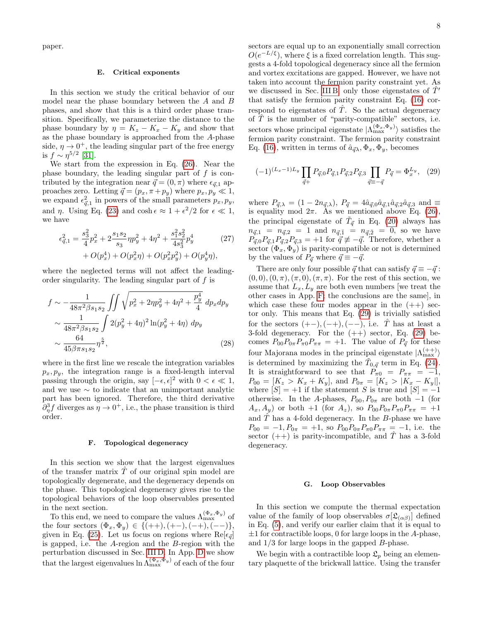paper.

## <span id="page-7-0"></span>E. Critical exponents

In this section we study the critical behavior of our model near the phase boundary between the A and B phases, and show that this is a third order phase transition. Specifically, we parameterize the distance to the phase boundary by  $\eta = K_z - K_x - K_y$  and show that as the phase boundary is approached from the A-phase side,  $\eta \rightarrow 0^+$ , the leading singular part of the free energy is  $f \sim \eta^{5/2}$  [\[31\]](#page-17-23).

We start from the expression in Eq. [\(26\)](#page-5-3). Near the phase boundary, the leading singular part of  $f$  is contributed by the integration near  $\vec{q} = (0, \pi)$  where  $\epsilon_{\vec{q},1}$  approaches zero. Letting  $\vec{q} = (p_x, \pi + p_y)$  where  $p_x, p_y \ll 1$ , we expand  $\epsilon_{\vec{q},1}^2$  in powers of the small parameters  $p_x, p_y$ , and  $\eta$ . Using Eq. [\(23\)](#page-5-4) and  $\cosh \epsilon \approx 1 + \epsilon^2/2$  for  $\epsilon \ll 1$ , we have

$$
\epsilon_{\vec{q},1}^2 = \frac{s_3^2}{4} p_x^2 + 2 \frac{s_1 s_2}{s_3} \eta p_y^2 + 4 \eta^2 + \frac{s_1^2 s_2^2}{4 s_3^2} p_y^4
$$
 (27)  
+  $O(p_x^4) + O(p_x^2 \eta) + O(p_x^2 p_y^2) + O(p_y^4 \eta)$ ,

where the neglected terms will not affect the leadingorder singularity. The leading singular part of  $f$  is

$$
f \sim -\frac{1}{48\pi^2 \beta s_1 s_2} \iint \sqrt{p_x^2 + 2\eta p_y^2 + 4\eta^2 + \frac{p_y^4}{4}} dp_x dp_y
$$
  
 
$$
\sim \frac{1}{48\pi^2 \beta s_1 s_2} \int 2(p_y^2 + 4\eta)^2 \ln(p_y^2 + 4\eta) dp_y
$$
  
 
$$
\sim \frac{64}{45\beta \pi s_1 s_2} \eta^{\frac{5}{2}},
$$
 (28)

where in the first line we rescale the integration variables  $p_x, p_y$ , the integration range is a fixed-length interval passing through the origin, say  $[-\epsilon, \epsilon]^2$  with  $0 < \epsilon \ll 1$ , and we use ∼ to indicate that an unimportant analytic part has been ignored. Therefore, the third derivative  $\partial_{\eta}^3 f$  diverges as  $\eta \to 0^+$ , i.e., the phase transition is third order.

### <span id="page-7-1"></span>F. Topological degeneracy

In this section we show that the largest eigenvalues of the transfer matrix  $T$  of our original spin model are topologically degenerate, and the degeneracy depends on the phase. This topological degeneracy gives rise to the topological behaviors of the loop observables presented in the next section.

To this end, we need to compare the values  $\Lambda_{\max}^{(\Phi_x, \Phi_y)}$  of the four sectors  $(\Phi_x, \Phi_y) \in \{(++), (+-), (-+), (--)\},\$ given in Eq. [\(25\)](#page-5-5). Let us focus on regions where  $\text{Re}[\epsilon_{\vec{q}}]$ is gapped, i.e. the A-region and the B-region with the perturbation discussed in Sec. [III D.](#page-6-0) In App. [D](#page-14-0) we show that the largest eigenvalues  $\ln \Lambda_{\text{max}}^{(\Phi_x, \Phi_y)}$  of each of the four sectors are equal up to an exponentially small correction  $O(e^{-L/\xi})$ , where  $\xi$  is a fixed correlation length. This suggests a 4-fold topological degeneracy since all the fermion and vortex excitations are gapped. However, we have not taken into account the fermion parity constraint yet. As we discussed in Sec. [III B,](#page-3-0) only those eigenstates of  $T'$ that satisfy the fermion parity constraint Eq. [\(16\)](#page-4-1) correspond to eigenstates of  $\hat{T}$ . So the actual degeneracy of  $\hat{T}$  is the number of "parity-compatible" sectors, i.e. sectors whose principal eigenstate  $|\Lambda_{\max}^{(\Phi_x, \Phi_y)}\rangle$  satisfies the fermion parity constraint. The fermion parity constraint Eq. [\(16\)](#page-4-1), written in terms of  $\hat{a}_{\vec{q}}\lambda, \Phi_x, \Phi_y$ , becomes

<span id="page-7-3"></span>
$$
(-1)^{(L_x - 1)L_y} \prod_{\vec{q}+} P_{\vec{q},0} P_{\vec{q},1} P_{\vec{q},2} P_{\vec{q},3} \prod_{\vec{q}\equiv -\vec{q}} P_{\vec{q}} = \Phi_x^{L_y}, \quad (29)
$$

where  $P_{\vec{q},\lambda} = (1 - 2n_{\vec{q},\lambda}), P_{\vec{q}} = 4\hat{a}_{\vec{q},0}\hat{a}_{\vec{q},1}\hat{a}_{\vec{q},2}\hat{a}_{\vec{q},3}$  and  $\equiv$ is equality mod  $2\pi$ . As we mentioned above Eq. [\(26\)](#page-5-3), the principal eigenstate of  $\tilde{T}_{\vec{q}}$  in Eq. [\(20\)](#page-5-0) always has  $n_{\vec{q},1} = n_{\vec{q},2} = 1$  and  $n_{\vec{q},\bar{1}} = n_{\vec{q},\bar{2}} = 0$ , so we have  $P_{\vec{q},0}P_{\vec{q},1}P_{\vec{q},2}P_{\vec{q},3} = +1$  for  $\vec{q} \not\equiv -\vec{q}$ . Therefore, whether a sector  $(\Phi_x, \Phi_y)$  is parity-compatible or not is determined by the values of  $P_{\vec{q}}$  where  $\vec{q} \equiv -\vec{q}$ .

There are only four possible  $\vec{q}$  that can satisfy  $\vec{q} \equiv -\vec{q}$ :  $(0, 0), (0, \pi), (\pi, 0), (\pi, \pi)$ . For the rest of this section, we assume that  $L_x, L_y$  are both even numbers we treat the other cases in App. [F;](#page-16-0) the conclusions are the same], in which case these four modes appear in the  $(++)$  sector only. This means that Eq. [\(29\)](#page-7-3) is trivially satisfied for the sectors  $(+-),(-+),(--),$  i.e.  $\hat{T}$  has at least a 3-fold degeneracy. For the  $(++)$  sector, Eq. [\(29\)](#page-7-3) becomes  $P_{00}P_{0\pi}P_{\pi 0}P_{\pi\pi} = +1$ . The value of  $P_{\vec{q}}$  for these four Majorana modes in the principal eigenstate  $|\Lambda_{\rm max}^{(++)}\rangle$ is determined by maximizing the  $\tilde{T}_{0,\vec{q}}$  term in Eq. [\(24\)](#page-5-2). It is straightforward to see that  $P_{\pi0} = P_{\pi\pi} = -1$ ,  $P_{00} = [K_z > K_x + K_y], \text{ and } P_{0\pi} = [K_z > K_x - K_y]],$ where  $[S] = +1$  if the statement S is true and  $[S] = -1$ otherwise. In the A-phases,  $P_{00}$ ,  $P_{0\pi}$  are both  $-1$  (for  $(A_x, A_y)$  or both +1 (for  $A_z$ ), so  $P_{00}P_{0\pi}P_{\pi 0}P_{\pi\pi} = +1$ and  $\hat{T}$  has a 4-fold degeneracy. In the B-phase we have  $P_{00} = -1, P_{0\pi} = +1$ , so  $P_{00}P_{0\pi}P_{\pi 0}P_{\pi\pi} = -1$ , i.e. the sector  $(++)$  is parity-incompatible, and  $\hat{T}$  has a 3-fold degeneracy.

# <span id="page-7-2"></span>G. Loop Observables

In this section we compute the thermal expectation value of the family of loop observables  $\sigma[\mathfrak{L}_{(\alpha\beta)}]$  defined in Eq. [\(5\)](#page-1-3), and verify our earlier claim that it is equal to  $\pm 1$  for contractible loops, 0 for large loops in the A-phase, and 1/3 for large loops in the gapped B-phase.

We begin with a contractible loop  $\mathfrak{L}_p$  being an elementary plaquette of the brickwall lattice. Using the transfer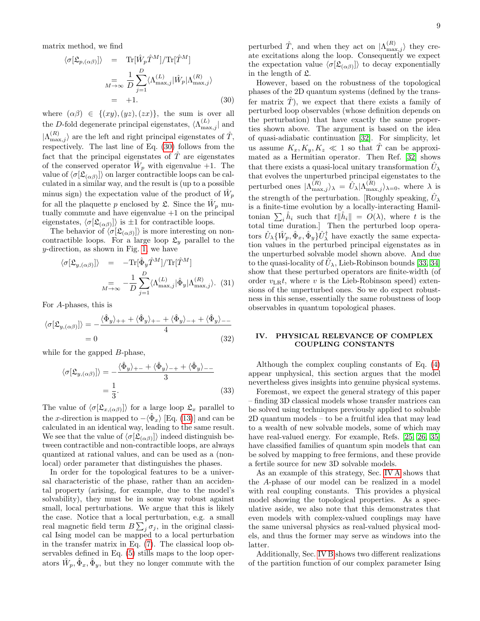matrix method, we find

<span id="page-8-1"></span>
$$
\langle \sigma[\mathfrak{L}_{p,(\alpha\beta)}] \rangle = \text{Tr}[\hat{W}_p \hat{T}^M] / \text{Tr}[\hat{T}^M]
$$

$$
= \frac{1}{M} \sum_{j=1}^D \langle \Lambda_{\text{max},j}^{(L)} | \hat{W}_p | \Lambda_{\text{max},j}^{(R)} \rangle
$$

$$
= +1. \tag{30}
$$

where  $(\alpha\beta) \in \{(xy), (yz), (zx)\},\$  the sum is over all the D-fold degenerate principal eigenstates,  $\langle \Lambda^{(L)}_{\text{max},j} |$  and  $|\Lambda_{\max,j}^{(R)}\rangle$  are the left and right principal eigenstates of  $\hat{T}$ , respectively. The last line of Eq. [\(30\)](#page-8-1) follows from the fact that the principal eigenstates of  $\hat{T}$  are eigenstates of the conserved operator  $\hat{W}_p$  with eigenvalue  $+1$ . The value of  $\langle \sigma[\mathfrak{L}_{(\alpha\beta)}] \rangle$  on larger contractible loops can be calculated in a similar way, and the result is (up to a possible minus sign) the expectation value of the product of  $\hat{W}_p$ for all the plaquette p enclosed by  $\mathfrak{L}$ . Since the  $\hat{W}_p$  mutually commute and have eigenvalue  $+1$  on the principal eigenstates,  $\langle \sigma[\mathfrak{L}_{(\alpha\beta)}] \rangle$  is  $\pm 1$  for contractible loops.

The behavior of  $\langle \sigma[\mathfrak{L}_{(\alpha\beta)}] \rangle$  is more interesting on noncontractible loops. For a large loop  $\mathfrak{L}_y$  parallel to the y-direction, as shown in Fig. [1,](#page-1-0) we have

$$
\langle \sigma[\mathfrak{L}_{y,(\alpha\beta)}] \rangle = -\text{Tr}[\hat{\Phi}_y \hat{T}^M]/\text{Tr}[\hat{T}^M]
$$

$$
= -\frac{1}{D} \sum_{j=1}^D \langle \Lambda_{\text{max},j}^{(L)} | \hat{\Phi}_y | \Lambda_{\text{max},j}^{(R)} \rangle. (31)
$$

For A-phases, this is

$$
\langle \sigma[\mathfrak{L}_{y,(\alpha\beta)}] \rangle = -\frac{\langle \hat{\Phi}_y \rangle_{++} + \langle \hat{\Phi}_y \rangle_{+-} + \langle \hat{\Phi}_y \rangle_{-+} + \langle \hat{\Phi}_y \rangle_{--}}{4}
$$
  
= 0 (32)

while for the gapped  $B$ -phase,

$$
\langle \sigma[\mathfrak{L}_{y,(\alpha\beta)}] \rangle = -\frac{\langle \hat{\Phi}_y \rangle_{+-} + \langle \hat{\Phi}_y \rangle_{-+} + \langle \hat{\Phi}_y \rangle_{--}}{3}
$$
  
=  $\frac{1}{3}$ . (33)

The value of  $\langle \sigma[\mathfrak{L}_{x,(\alpha\beta)}] \rangle$  for a large loop  $\mathfrak{L}_x$  parallel to the x-direction is mapped to  $-\langle \hat{\Phi}_x \rangle$  [Eq. [\(13\)](#page-3-2)] and can be calculated in an identical way, leading to the same result. We see that the value of  $\langle \sigma[\mathfrak{L}_{(\alpha\beta)}] \rangle$  indeed distinguish between contractible and non-contractible loops, are always quantized at rational values, and can be used as a (nonlocal) order parameter that distinguishes the phases.

In order for the topological features to be a universal characteristic of the phase, rather than an accidental property (arising, for example, due to the model's solvability), they must be in some way robust against small, local perturbations. We argue that this is likely the case. Notice that a local perturbation, e.g. a small real magnetic field term  $B\sum_j \sigma_j$ , in the original classical Ising model can be mapped to a local perturbation in the transfer matrix in Eq. [\(7\)](#page-2-2). The classical loop observables defined in Eq. [\(5\)](#page-1-3) stills maps to the loop operators  $\hat{W}_p, \hat{\Phi}_x, \hat{\Phi}_y$ , but they no longer commute with the

perturbed  $\hat{T}$ , and when they act on  $|\Lambda_{\max,j}^{(R)}\rangle$  they create excitations along the loop. Consequently we expect the expectation value  $\langle \sigma[\mathfrak{L}_{(\alpha\beta)}] \rangle$  to decay exponentially in the length of L.

However, based on the robustness of the topological phases of the 2D quantum systems (defined by the transfer matrix  $T$ ), we expect that there exists a family of perturbed loop observables (whose definition depends on the perturbation) that have exactly the same properties shown above. The argument is based on the idea of quasi-adiabatic continuation [\[32\]](#page-17-24). For simplicity, let us assume  $K_x, K_y, K_z \ll 1$  so that  $\hat{T}$  can be approximated as a Hermitian operator. Then Ref. [\[32\]](#page-17-24) shows that there exists a quasi-local unitary transformation  $\hat{U}_{\lambda}$ that evolves the unperturbed principal eigenstates to the perturbed ones  $|\Lambda_{\max,j}^{(R)}\rangle_{\lambda} = \hat{U}_{\lambda} |\Lambda_{\max,j}^{(R)}\rangle_{\lambda=0}$ , where  $\lambda$  is the strength of the perturbation. [Roughly speaking,  $\hat{U}_{\lambda}$ is a finite-time evolution by a locally-interacting Hamiltonian  $\sum_i \hat{h}_i$  such that  $t\|\hat{h}_i\| = O(\lambda)$ , where t is the total time duration.] Then the perturbed loop operators  $\hat{U}_{\lambda} \{\hat{W}_p, \hat{\Phi}_x, \hat{\Phi}_y\} \hat{U}_{\lambda}^{\dagger}$  have exactly the same expectation values in the perturbed principal eigenstates as in the unperturbed solvable model shown above. And due to the quasi-locality of  $\hat{U}_{\lambda}$ , Lieb-Robinson bounds [\[33,](#page-17-25) [34\]](#page-17-26) show that these perturbed operators are finite-width (of order  $v_{LR}t$ , where v is the Lieb-Robinson speed) extensions of the unperturbed ones. So we do expect robustness in this sense, essentially the same robustness of loop observables in quantum topological phases.

## <span id="page-8-0"></span>IV. PHYSICAL RELEVANCE OF COMPLEX COUPLING CONSTANTS

Although the complex coupling constants of Eq. [\(4\)](#page-1-2) appear unphysical, this section argues that the model nevertheless gives insights into genuine physical systems.

Foremost, we expect the general strategy of this paper – finding 3D classical models whose transfer matrices can be solved using techniques previously applied to solvable 2D quantum models – to be a fruitful idea that may lead to a wealth of new solvable models, some of which may have real-valued energy. For example, Refs. [\[25,](#page-17-27) [26,](#page-17-18) [35\]](#page-17-28) have classified families of quantum spin models that can be solved by mapping to free fermions, and these provide a fertile source for new 3D solvable models.

As an example of this strategy, Sec. [IV A](#page-9-0) shows that the A-phase of our model can be realized in a model with real coupling constants. This provides a physical model showing the topological properties. As a speculative aside, we also note that this demonstrates that even models with complex-valued couplings may have the same universal physics as real-valued physical models, and thus the former may serve as windows into the latter.

Additionally, Sec. [IV B](#page-9-1) shows two different realizations of the partition function of our complex parameter Ising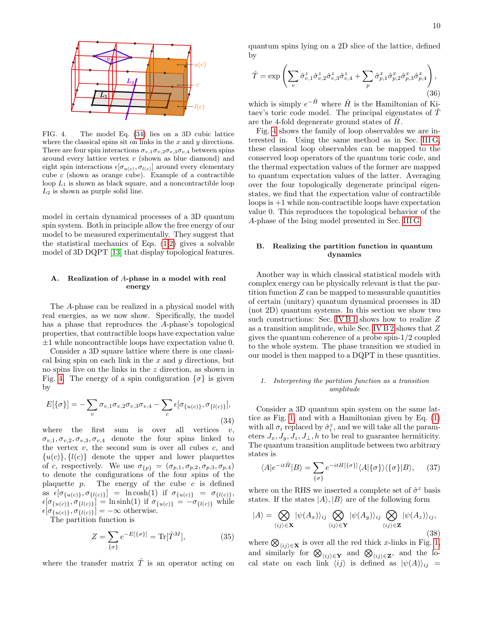

<span id="page-9-3"></span>FIG. 4. The model Eq. [\(34\)](#page-9-2) lies on a 3D cubic lattice where the classical spins sit on links in the  $x$  and  $y$  directions. There are four spin interactions  $\sigma_{v,1}\sigma_{v,2}\sigma_{v,3}\sigma_{v,4}$  between spins around every lattice vertex  $v$  (shown as blue diamond) and eight spin interactions  $\epsilon[\sigma_{u(c)}, \sigma_{l(c)}]$  around every elementary cube  $c$  (shown as orange cube). Example of a contractible loop  $L_1$  is shown as black square, and a noncontractible loop  $L_2$  is shown as purple solid line.

model in certain dynamical processes of a 3D quantum spin system. Both in principle allow the free energy of our model to be measured experimentally. They suggest that the statistical mechanics of Eqs.  $(1,2)$  $(1,2)$  gives a solvable model of 3D DQPT [\[13\]](#page-17-10) that display topological features.

## <span id="page-9-0"></span>A. Realization of A-phase in a model with real energy

The A-phase can be realized in a physical model with real energies, as we now show. Specifically, the model has a phase that reproduces the A-phase's topological properties, that contractible loops have expectation value  $\pm 1$  while noncontractible loops have expectation value 0.

Consider a 3D square lattice where there is one classical Ising spin on each link in the  $x$  and  $y$  directions, but no spins live on the links in the z direction, as shown in Fig. [4.](#page-9-3) The energy of a spin configuration  $\{\sigma\}$  is given by

<span id="page-9-2"></span>
$$
E[\{\sigma\}] = -\sum_{v} \sigma_{v,1} \sigma_{v,2} \sigma_{v,3} \sigma_{v,4} - \sum_{c} \epsilon [\sigma_{\{u(c)\}}, \sigma_{\{l(c)\}}],
$$
\n(34)

where the first sum is over all vertices  $v$ ,  $\sigma_{v,1}, \sigma_{v,2}, \sigma_{v,3}, \sigma_{v,4}$  denote the four spins linked to the vertex  $v$ , the second sum is over all cubes  $c$ , and  ${u(c)}, {l(c)}$  denote the upper and lower plaquettes of c, respectively. We use  $\sigma_{\{p\}} = (\sigma_{p,1}, \sigma_{p,2}, \sigma_{p,3}, \sigma_{p,4})$ to denote the configurations of the four spins of the plaquette  $p$ . The energy of the cube  $c$  is defined as  $\epsilon[\sigma_{\{u(c)\}}, \sigma_{\{l(c)\}}] = \ln \cosh(1)$  if  $\sigma_{\{u(c)\}} = \sigma_{\{l(c)\}},$  $[\sigma_{\{u(c)\}}, \sigma_{\{l(c)\}}] = \text{ln sinh}(1)$  if  $\sigma_{\{u(c)\}} = -\sigma_{\{l(c)\}}$  while  $[\sigma_{\{u(c)\}}, \sigma_{\{l(c)\}}] = -\infty$  otherwise.

The partition function is

$$
Z = \sum_{\{\sigma\}} e^{-E[\{\sigma\}]} = \text{Tr}[\hat{T}^M],\tag{35}
$$

where the transfer matrix  $\hat{T}$  is an operator acting on

quantum spins lying on a 2D slice of the lattice, defined by

$$
\hat{T} = \exp\left(\sum_{v} \hat{\sigma}_{v,1}^{z} \hat{\sigma}_{v,2}^{z} \hat{\sigma}_{v,3}^{z} \hat{\sigma}_{v,4}^{z} + \sum_{p} \hat{\sigma}_{p,1}^{x} \hat{\sigma}_{p,2}^{x} \hat{\sigma}_{p,3}^{x} \hat{\sigma}_{p,4}^{x}\right),\tag{36}
$$

which is simply  $e^{-\hat{H}}$  where  $\hat{H}$  is the Hamiltonian of Kitaev's toric code model. The principal eigenstates of  $\hat{T}$ are the 4-fold degenerate ground states of  $H$ .

Fig. [4](#page-9-3) shows the family of loop observables we are interested in. Using the same method as in Sec. [III G,](#page-7-2) these classical loop observables can be mapped to the conserved loop operators of the quantum toric code, and the thermal expectation values of the former are mapped to quantum expectation values of the latter. Averaging over the four topologically degenerate principal eigenstates, we find that the expectation value of contractible loops is  $+1$  while non-contractible loops have expectation value 0. This reproduces the topological behavior of the A-phase of the Ising model presented in Sec. [III G.](#page-7-2)

## <span id="page-9-1"></span>B. Realizing the partition function in quantum dynamics

Another way in which classical statistical models with complex energy can be physically relevant is that the partition function  $Z$  can be mapped to measurable quantities of certain (unitary) quantum dynamical processes in 3D (not 2D) quantum systems. In this section we show two such constructions: Sec. [IV B 1](#page-9-4) shows how to realize  $\boldsymbol{Z}$ as a transition amplitude, while Sec. [IV B 2](#page-10-1) shows that Z gives the quantum coherence of a probe spin-1/2 coupled to the whole system. The phase transition we studied in our model is then mapped to a DQPT in these quantities.

#### <span id="page-9-4"></span>1. Interpreting the partition function as a transition amplitude

Consider a 3D quantum spin system on the same lattice as Fig. [1,](#page-1-0) and with a Hamiltonian given by Eq. [\(1\)](#page-1-5) with all  $\sigma_i$  replaced by  $\hat{\sigma}_i^z$ , and we will take all the parameters  $J_x, J_y, J_z, J_\perp, h$  to be real to guarantee hermiticity. The quantum transition amplitude between two arbitrary states is

$$
\langle A|e^{-it\hat{H}}|B\rangle = \sum_{\{\sigma\}} e^{-itH[\{\sigma\}]} \langle A|\{\sigma\}\rangle \langle \{\sigma\}|B\rangle, \quad (37)
$$

where on the RHS we inserted a complete set of  $\hat{\sigma}^z$  basis states. If the states  $|A\rangle, |B\rangle$  are of the following form

<span id="page-9-5"></span>
$$
|A\rangle = \bigotimes_{\langle ij\rangle \in \mathbf{X}} |\psi(A_x)\rangle_{ij} \bigotimes_{\langle ij\rangle \in \mathbf{Y}} |\psi(A_y)\rangle_{ij} \bigotimes_{\langle ij\rangle \in \mathbf{Z}} |\psi(A_z)\rangle_{ij},
$$
\n(38)

where  $\bigotimes_{\langle ij \rangle \in \mathbf{X}}$  is over all the red thick x-links in Fig. [1,](#page-1-0) and similarly for  $\bigotimes_{\langle ij \rangle \in \mathbf{Y}}$  and  $\bigotimes_{\langle ij \rangle \in \mathbf{Z}}$ , and the local state on each link  $\langle ij \rangle$  is defined as  $|\psi(A)\rangle_{ij}$  =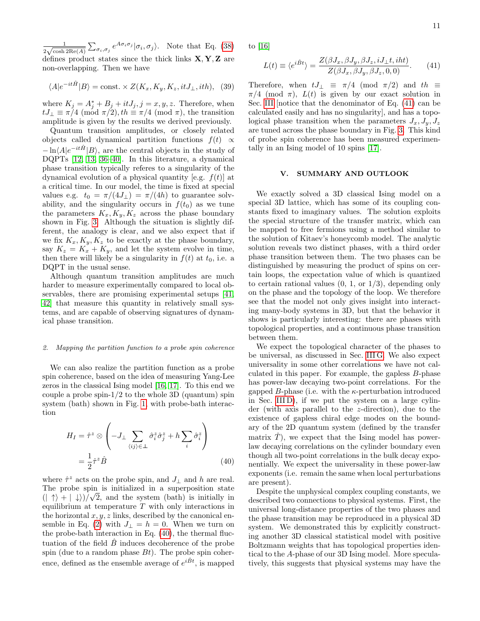1  $\frac{1}{2\sqrt{\cosh 2\text{Re}(A)}}\sum_{\sigma_i,\sigma_j}e^{A\sigma_i\sigma_j}|\sigma_i,\sigma_j\rangle.$  Note that Eq. [\(38\)](#page-9-5) defines product states since the thick links  $X, Y, Z$  are non-overlapping. Then we have

$$
\langle A|e^{-it\hat{H}}|B\rangle=\mathrm{const.}\times Z(K_x,K_y,K_z,itJ_{\perp},ith),\;\;(39)
$$

where  $K_j = A_j^* + B_j + itJ_j$ ,  $j = x, y, z$ . Therefore, when  $tJ_{\perp} \equiv \pi/4 \pmod{\pi/2}$ ,  $th \equiv \pi/4 \pmod{\pi}$ , the transition amplitude is given by the results we derived previously.

Quantum transition amplitudes, or closely related objects called dynamical partition functions  $f(t) \propto$  $-\ln\langle A|e^{-it\hat{H}}|B\rangle$ , are the central objects in the study of DQPTs [\[12,](#page-17-9) [13,](#page-17-10) [36–](#page-18-0)[40\]](#page-18-1). In this literature, a dynamical phase transition typically referes to a singularity of the dynamical evolution of a physical quantity [e.g.  $f(t)$ ] at a critical time. In our model, the time is fixed at special values e.g.  $t_0 = \pi/(4J_{\perp}) = \pi/(4h)$  to guarantee solvability, and the singularity occurs in  $f(t_0)$  as we tune the parameters  $K_x, K_y, K_z$  across the phase boundary shown in Fig. [3.](#page-6-1) Although the situation is slightly different, the analogy is clear, and we also expect that if we fix  $K_x, K_y, K_z$  to be exactly at the phase boundary, say  $K_z = K_x + K_y$ , and let the system evolve in time, then there will likely be a singularity in  $f(t)$  at  $t_0$ , i.e. a DQPT in the usual sense.

Although quantum transition amplitudes are much harder to measure experimentally compared to local observables, there are promising experimental setups [\[41,](#page-18-2) [42\]](#page-18-3) that measure this quantity in relatively small systems, and are capable of observing signatures of dynamical phase transition.

#### <span id="page-10-1"></span>2. Mapping the partition function to a probe spin coherence

We can also realize the partition function as a probe spin coherence, based on the idea of measuring Yang-Lee zeros in the classical Ising model [\[16,](#page-17-29) [17\]](#page-17-12). To this end we couple a probe spin- $1/2$  to the whole 3D (quantum) spin system (bath) shown in Fig. [1,](#page-1-0) with probe-bath interaction

<span id="page-10-2"></span>
$$
H_{I} = \hat{\tau}^{z} \otimes \left( -J_{\perp} \sum_{\langle ij \rangle \in \perp} \hat{\sigma}_{i}^{z} \hat{\sigma}_{j}^{z} + h \sum_{i} \hat{\sigma}_{i}^{z} \right)
$$

$$
= \frac{1}{2} \hat{\tau}^{z} \hat{B}
$$
(40)

where  $\hat{\tau}^z$  acts on the probe spin, and  $J_{\perp}$  and h are real. The probe spin is initialized in a superposition state  $(| \uparrow \rangle + | \downarrow \rangle)/\sqrt{2}$ , and the system (bath) is initially in equilibrium at temperature  $T$  with only interactions in the horizontal  $x, y, z$  links, described by the canonical en-semble in Eq. [\(2\)](#page-1-4) with  $J_{\perp} = h = 0$ . When we turn on the probe-bath interaction in Eq. [\(40\)](#page-10-2), the thermal fluctuation of the field  $\ddot{B}$  induces decoherence of the probe spin (due to a random phase  $Bt$ ). The probe spin coherence, defined as the ensemble average of  $e^{i\hat{B}t}$ , is mapped to [\[16\]](#page-17-29)

<span id="page-10-3"></span>
$$
L(t) \equiv \langle e^{i\hat{B}t} \rangle = \frac{Z(\beta J_x, \beta J_y, \beta J_z, iJ_\perp t, iht)}{Z(\beta J_x, \beta J_y, \beta J_z, 0, 0)}.\tag{41}
$$

Therefore, when  $tJ_{\perp} \equiv \pi/4 \pmod{\pi/2}$  and  $th \equiv$  $\pi/4 \pmod{\pi}$ ,  $L(t)$  is given by our exact solution in Sec. [III](#page-2-0) [notice that the denominator of Eq. [\(41\)](#page-10-3) can be calculated easily and has no singularity], and has a topological phase transition when the parameters  $J_x, J_y, J_z$ are tuned across the phase boundary in Fig. [3.](#page-6-1) This kind of probe spin coherence has been measured experimentally in an Ising model of 10 spins [\[17\]](#page-17-12).

## <span id="page-10-0"></span>V. SUMMARY AND OUTLOOK

We exactly solved a 3D classical Ising model on a special 3D lattice, which has some of its coupling constants fixed to imaginary values. The solution exploits the special structure of the transfer matrix, which can be mapped to free fermions using a method similar to the solution of Kitaev's honeycomb model. The analytic solution reveals two distinct phases, with a third order phase transition between them. The two phases can be distinguished by measuring the product of spins on certain loops, the expectation value of which is quantized to certain rational values  $(0, 1, \text{ or } 1/3)$ , depending only on the phase and the topology of the loop. We therefore see that the model not only gives insight into interacting many-body systems in 3D, but that the behavior it shows is particularly interesting: there are phases with topological properties, and a continuous phase transition between them.

We expect the topological character of the phases to be universal, as discussed in Sec. [III G.](#page-7-2) We also expect universality in some other correlations we have not calculated in this paper. For example, the gapless B-phase has power-law decaying two-point correlations. For the gapped  $B$ -phase (i.e. with the  $\kappa$ -perturbation introduced in Sec. [III D\)](#page-6-0), if we put the system on a large cylinder (with axis parallel to the z-direction), due to the existence of gapless chiral edge modes on the boundary of the 2D quantum system (defined by the transfer matrix  $\hat{T}$ ), we expect that the Ising model has powerlaw decaying correlations on the cylinder boundary even though all two-point correlations in the bulk decay exponentially. We expect the universality in these power-law exponents (i.e. remain the same when local perturbations are present).

Despite the unphysical complex coupling constants, we described two connections to physical systems. First, the universal long-distance properties of the two phases and the phase transition may be reproduced in a physical 3D system. We demonstrated this by explicitly constructing another 3D classical statistical model with positive Boltzmann weights that has topological properties identical to the A-phase of our 3D Ising model. More speculatively, this suggests that physical systems may have the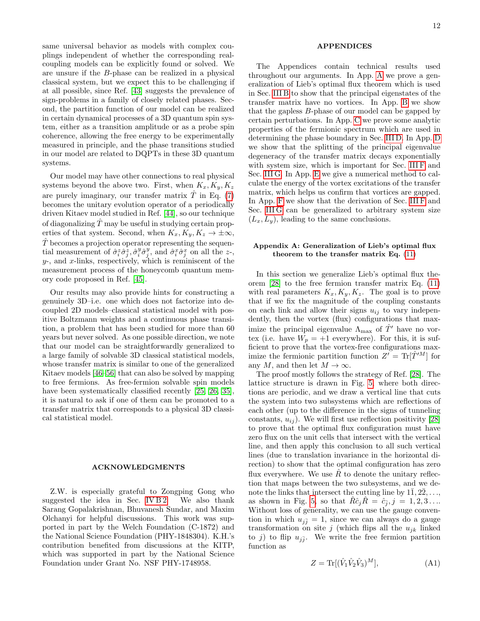same universal behavior as models with complex couplings independent of whether the corresponding realcoupling models can be explicitly found or solved. We are unsure if the B-phase can be realized in a physical classical system, but we expect this to be challenging if at all possible, since Ref. [\[43\]](#page-18-4) suggests the prevalence of sign-problems in a family of closely related phases. Second, the partition function of our model can be realized in certain dynamical processes of a 3D quantum spin system, either as a transition amplitude or as a probe spin coherence, allowing the free energy to be experimentally measured in principle, and the phase transitions studied in our model are related to DQPTs in these 3D quantum systems.

Our model may have other connections to real physical systems beyond the above two. First, when  $K_x, K_y, K_z$ are purely imaginary, our transfer matrix  $\hat{T}$  in Eq. [\(7\)](#page-2-2) becomes the unitary evolution operator of a periodically driven Kitaev model studied in Ref. [\[44\]](#page-18-5), so our technique of diagonalizing  $\hat{T}$  may be useful in studying certain properties of that system. Second, when  $K_x, K_y, K_z \to \pm \infty$ ,  $\ddot{T}$  becomes a projection operator representing the sequential measurement of  $\hat{\sigma}_i^z \hat{\sigma}_j^z$ ,  $\hat{\sigma}_i^y \hat{\sigma}_j^y$ , and  $\hat{\sigma}_i^x \hat{\sigma}_j^x$  on all the z-,  $y$ -, and  $x$ -links, respectively, which is reminiscent of the measurement process of the honeycomb quantum memory code proposed in Ref. [\[45\]](#page-18-6).

Our results may also provide hints for constructing a genuinely 3D–i.e. one which does not factorize into decoupled 2D models–classical statistical model with positive Boltzmann weights and a continuous phase transition, a problem that has been studied for more than 60 years but never solved. As one possible direction, we note that our model can be straightforwardly generalized to a large family of solvable 3D classical statistical models, whose transfer matrix is similar to one of the generalized Kitaev models [\[46–](#page-18-7)[56\]](#page-18-8) that can also be solved by mapping to free fermions. As free-fermion solvable spin models have been systematically classified recently [\[25,](#page-17-27) [26,](#page-17-18) [35\]](#page-17-28). it is natural to ask if one of them can be promoted to a transfer matrix that corresponds to a physical 3D classical statistical model.

#### ACKNOWLEDGMENTS

Z.W. is especially grateful to Zongping Gong who suggested the idea in Sec. IV  $B2$ . We also thank Sarang Gopalakrishnan, Bhuvanesh Sundar, and Maxim Olchanyi for helpful discussions. This work was supported in part by the Welch Foundation (C-1872) and the National Science Foundation (PHY-1848304). K.H.'s contribution benefited from discussions at the KITP, which was supported in part by the National Science Foundation under Grant No. NSF PHY-1748958.

## APPENDICES

The Appendices contain technical results used throughout our arguments. In App. [A](#page-11-0) we prove a generalization of Lieb's optimal flux theorem which is used in Sec. [III B](#page-3-0) to show that the principal eigenstates of the transfer matrix have no vortices. In App. [B](#page-13-1) we show that the gapless B-phase of our model can be gapped by certain perturbations. In App. [C](#page-13-0) we prove some analytic properties of the fermionic spectrum which are used in determining the phase boundary in Sec. [III D.](#page-6-0) In App. [D](#page-14-0) we show that the splitting of the principal eigenvalue degeneracy of the transfer matrix decays exponentially with system size, which is important for Sec. [III F](#page-7-1) and Sec. [III G.](#page-7-2) In App. [E](#page-15-0) we give a numerical method to calculate the energy of the vortex excitations of the transfer matrix, which helps us confirm that vortices are gapped. In App. [F](#page-16-0) we show that the derivation of Sec. [III F](#page-7-1) and Sec. [III G](#page-7-2) can be generalized to arbitrary system size  $(L_x, L_y)$ , leading to the same conclusions.

## <span id="page-11-0"></span>Appendix A: Generalization of Lieb's optimal flux theorem to the transfer matrix Eq. [\(11\)](#page-3-1)

In this section we generalize Lieb's optimal flux theorem [\[28\]](#page-17-20) to the free fermion transfer matrix Eq. [\(11\)](#page-3-1) with real parameters  $K_x, K_y, K_z$ . The goal is to prove that if we fix the magnitude of the coupling constants on each link and allow their signs  $u_{ij}$  to vary independently, then the vortex (flux) configurations that maximize the principal eigenvalue  $\Lambda_{\text{max}}$  of  $\hat{T}'$  have no vortex (i.e. have  $W_p = +1$  everywhere). For this, it is sufficient to prove that the vortex-free configurations maximize the fermionic partition function  $Z' = \text{Tr}[\hat{T}^{\prime M}]$  for any M, and then let  $M \to \infty$ .

The proof mostly follows the strategy of Ref. [\[28\]](#page-17-20). The lattice structure is drawn in Fig. [5,](#page-12-0) where both directions are periodic, and we draw a vertical line that cuts the system into two subsystems which are reflections of each other (up to the difference in the signs of tunneling constants,  $u_{ij}$ ). We will first use reflection positivity [\[28\]](#page-17-20) to prove that the optimal flux configuration must have zero flux on the unit cells that intersect with the vertical line, and then apply this conclusion to all such vertical lines (due to translation invariance in the horizontal direction) to show that the optimal configuration has zero flux everywhere. We use  $\hat{R}$  to denote the unitary reflection that maps between the two subsystems, and we denote the links that intersect the cutting line by  $1\overline{1}, 2\overline{2}, \ldots$ , as shown in Fig. [5,](#page-12-0) so that  $\hat{R}\hat{c}_j \hat{R} = \hat{c}_{\overline{j}}, j = 1, 2, 3 \ldots$ Without loss of generality, we can use the gauge convention in which  $u_{i\bar{j}} = 1$ , since we can always do a gauge transformation on site j (which flips all the  $u_{jk}$  linked to j) to flip  $u_{j\bar{j}}$ . We write the free fermion partition function as

$$
Z = \text{Tr}[(\hat{V}_1 \hat{V}_2 \hat{V}_3)^M],\tag{A1}
$$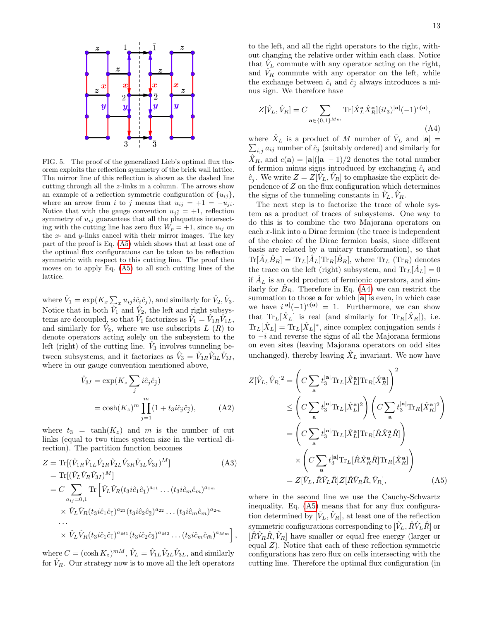

<span id="page-12-0"></span>FIG. 5. The proof of the generalized Lieb's optimal flux theorem exploits the reflection symmetry of the brick wall lattice. The mirror line of this reflection is shown as the dashed line cutting through all the z-links in a column. The arrows show an example of a reflection symmetric configuration of  $\{u_{ij}\},\$ where an arrow from i to j means that  $u_{ij} = +1 = -u_{ji}$ . Notice that with the gauge convention  $u_{j\bar{j}} = +1$ , reflection symmetry of  $u_{ij}$  guarantees that all the plaquettes intersecting with the cutting line has zero flux  $W_p = +1$ , since  $u_{ij}$  on the  $x$ - and  $y$ -links cancel with their mirror images. The key part of the proof is Eq. [\(A5\)](#page-12-1) which shows that at least one of the optimal flux configurations can be taken to be reflection symmetric with respect to this cutting line. The proof then moves on to apply Eq. [\(A5\)](#page-12-1) to all such cutting lines of the lattice.

where  $\hat{V}_1 = \exp(K_x \sum_x u_{ij} i \hat{c}_i \hat{c}_j)$ , and similarly for  $\hat{V}_2$ ,  $\hat{V}_3$ . Notice that in both  $\hat{V}_1$  and  $\hat{V}_2$ , the left and right subsystems are decoupled, so that  $\hat{V}_1$  factorizes as  $\hat{V}_1 = \hat{V}_{1R}\hat{V}_{1L}$ , and similarly for  $\hat{V}_2$ , where we use subscripts L  $(R)$  to denote operators acting solely on the subsystem to the left (right) of the cutting line.  $\hat{V}_3$  involves tunneling between subsystems, and it factorizes as  $\hat{V}_3 = \hat{V}_{3R}\hat{V}_{3L}\hat{V}_{3I}$ , where in our gauge convention mentioned above,

$$
\hat{V}_{3I} = \exp(K_z \sum_j i\hat{c}_j \hat{c}_{\bar{j}})
$$
  
= 
$$
\cosh(K_z)^m \prod_{j=1}^m (1 + t_3 i \hat{c}_j \hat{c}_{\bar{j}}),
$$
 (A2)

where  $t_3 = \tanh(K_z)$  and m is the number of cut links (equal to two times system size in the vertical direction). The partition function becomes

$$
Z = \text{Tr}[(\hat{V}_{1R}\hat{V}_{1L}\hat{V}_{2R}\hat{V}_{2L}\hat{V}_{3R}\hat{V}_{3L}\hat{V}_{3I})^{M}]
$$
(A3)  
\n
$$
= \text{Tr}[(\hat{V}_{L}\hat{V}_{R}\hat{V}_{3I})^{M}]
$$
  
\n
$$
= C \sum_{a_{ij}=0,1} \text{Tr} [\hat{V}_{L}\hat{V}_{R}(t_{3}i\hat{c}_{1}\hat{c}_{1})^{a_{11}} \dots (t_{3}i\hat{c}_{m}\hat{c}_{\bar{m}})^{a_{1m}}
$$
  
\n
$$
\times \hat{V}_{L}\hat{V}_{R}(t_{3}i\hat{c}_{1}\hat{c}_{1})^{a_{21}} (t_{3}i\hat{c}_{2}\hat{c}_{2})^{a_{22}} \dots (t_{3}i\hat{c}_{m}\hat{c}_{\bar{m}})^{a_{2m}}
$$
  
\n...  
\n
$$
\times \hat{V}_{L}\hat{V}_{R}(t_{3}i\hat{c}_{1}\hat{c}_{1})^{a_{M1}} (t_{3}i\hat{c}_{2}\hat{c}_{2})^{a_{M2}} \dots (t_{3}i\hat{c}_{m}\hat{c}_{\bar{m}})^{a_{Mm}}],
$$

where  $C = (\cosh K_z)^{mM}, \hat{V}_L = \hat{V}_{1L}\hat{V}_{2L}\hat{V}_{3L}$ , and similarly for  $V_R$ . Our strategy now is to move all the left operators

to the left, and all the right operators to the right, without changing the relative order within each class. Notice that  $V_L$  commute with any operator acting on the right, and  $V_R$  commute with any operator on the left, while the exchange between  $\hat{c}_i$  and  $\hat{c}_{\overline{i}}$  always introduces a minus sign. We therefore have

<span id="page-12-2"></span>
$$
Z[\hat{V}_L, \hat{V}_R] = C \sum_{\mathbf{a} \in \{0,1\}^{M_m}} \text{Tr}[\hat{X}_L^{\mathbf{a}} \hat{X}_R^{\mathbf{a}}](it_3)^{|\mathbf{a}|} (-1)^{c(\mathbf{a})},
$$
\n(A4)

where  $\hat{X}_L$  is a product of M number of  $\hat{V}_L$  and  $|\mathbf{a}| =$  $\sum_{i,j} a_{ij}$  number of  $\hat{c}_j$  (suitably ordered) and similarly for  $\hat{X}_R$ , and  $c(\mathbf{a}) = |\mathbf{a}|(|\mathbf{a}|-1)/2$  denotes the total number of fermion minus signs introduced by exchanging  $\hat{c}_i$  and  $\hat{c}_{\bar{j}}$ . We write  $Z = Z[\hat{V}_L, \hat{V}_R]$  to emphasize the explicit dependence of Z on the flux configuration which determines the signs of the tunneling constants in  $V_L$ ,  $V_R$ .

The next step is to factorize the trace of whole system as a product of traces of subsystems. One way to do this is to combine the two Majorana operators on each x-link into a Dirac fermion (the trace is independent of the choice of the Dirac fermion basis, since different basis are related by a unitary transformation), so that  $\text{Tr}[\hat{A}_L \hat{B}_R] = \text{Tr}_L[\hat{A}_L] \text{Tr}_R[\hat{B}_R]$ , where  $\text{Tr}_L(\text{Tr}_R)$  denotes the trace on the left (right) subsystem, and  $Tr_L[\hat{A}_L] = 0$ if  $A_L$  is an odd product of fermionic operators, and similarly for  $B_R$ . Therefore in Eq. [\(A4\)](#page-12-2) we can restrict the summation to those  $a$  for which  $|a|$  is even, in which case we have  $i^{|\mathbf{a}|}(-1)^{c(\mathbf{a})} = 1$ . Furthermore, we can show that  $\text{Tr}_L[\hat{X}_L]$  is real (and similarly for  $\text{Tr}_R[\hat{X}_R]$ ), i.e.  $\text{Tr}_L[\hat{X}_L] = \text{Tr}_L[\hat{X}_L]^*$ , since complex conjugation sends i to  $-i$  and reverse the signs of all the Majorana fermions on even sites (leaving Majorana operators on odd sites unchanged), thereby leaving  $\hat{X}_L$  invariant. We now have

<span id="page-12-1"></span>
$$
Z[\hat{V}_L, \hat{V}_R]^2 = \left(C \sum_{\mathbf{a}} t_3^{|\mathbf{a}|} \text{Tr}_L[\hat{X}_L^{\mathbf{a}}] \text{Tr}_R[\hat{X}_R^{\mathbf{a}}]\right)^2
$$
  
\n
$$
\leq \left(C \sum_{\mathbf{a}} t_3^{|\mathbf{a}|} \text{Tr}_L[\hat{X}_L^{\mathbf{a}}]^2\right) \left(C \sum_{\mathbf{a}} t_3^{|\mathbf{a}|} \text{Tr}_R[\hat{X}_R^{\mathbf{a}}]^2\right)
$$
  
\n
$$
= \left(C \sum_{\mathbf{a}} t_3^{|\mathbf{a}|} \text{Tr}_L[\hat{X}_L^{\mathbf{a}}] \text{Tr}_R[\hat{R}\hat{X}_L^{\mathbf{a}}\hat{R}]\right)
$$
  
\n
$$
\times \left(C \sum_{\mathbf{a}} t_3^{|\mathbf{a}|} \text{Tr}_L[\hat{R}\hat{X}_R^{\mathbf{a}}\hat{R}] \text{Tr}_R[\hat{X}_R^{\mathbf{a}}]\right)
$$
  
\n
$$
= Z[\hat{V}_L, \hat{R}\hat{V}_L\hat{R}] Z[\hat{R}\hat{V}_R\hat{R}, \hat{V}_R], \tag{A5}
$$

where in the second line we use the Cauchy-Schwartz inequality. Eq. [\(A5\)](#page-12-1) means that for any flux configuration determined by  $[V_L, V_R]$ , at least one of the reflection symmetric configurations corresponding to  $[\hat{V}_L, \hat{R}\hat{V}_L\hat{R}]$  or  $[\hat{R}\hat{V}_R\hat{R}, \hat{V}_R]$  have smaller or equal free energy (larger or equal  $Z$ ). Notice that each of these reflection symmetric configurations has zero flux on cells intersecting with the cutting line. Therefore the optimal flux configuration (in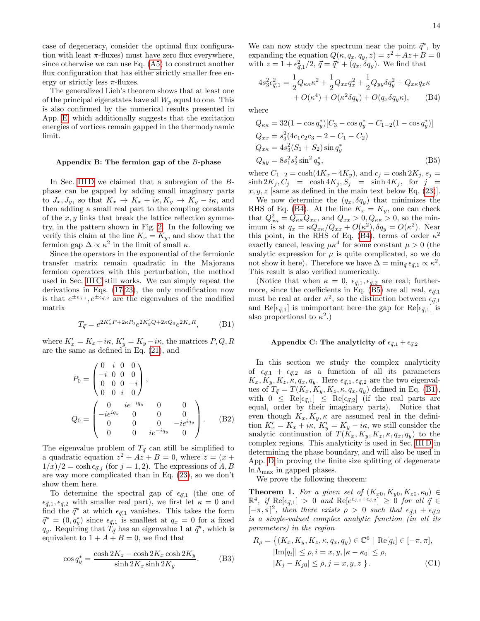case of degeneracy, consider the optimal flux configuration with least  $\pi$ -fluxes) must have zero flux everywhere, since otherwise we can use Eq. [\(A5\)](#page-12-1) to construct another flux configuration that has either strictly smaller free energy or strictly less  $\pi$ -fluxes.

The generalized Lieb's theorem shows that at least one of the principal eigenstates have all  $W_p$  equal to one. This is also confirmed by the numerical results presented in App. [E,](#page-15-0) which additionally suggests that the excitation energies of vortices remain gapped in the thermodynamic limit.

#### <span id="page-13-1"></span>Appendix B: The fermion gap of the B-phase

In Sec. IIID we claimed that a subregion of the Bphase can be gapped by adding small imaginary parts to  $J_x, J_y$ , so that  $K_x \to K_x + i\kappa, K_y \to K_y - i\kappa$ , and then adding a small real part to the coupling constants of the  $x, y$  links that break the lattice reflection symmetry, in the pattern shown in Fig. [2.](#page-2-3) In the following we verify this claim at the line  $K_x = K_y$ , and show that the fermion gap  $\Delta \propto \kappa^2$  in the limit of small  $\kappa$ .

Since the operators in the exponential of the fermionic transfer matrix remain quadratic in the Majorana fermion operators with this perturbation, the method used in Sec. [III C](#page-4-0) still works. We can simply repeat the derivations in Eqs. [\(17-](#page-4-2)[23\)](#page-5-4), the only modification now is that  $e^{\pm\epsilon_{\vec{q},1}}, e^{\pm\epsilon_{\vec{q},2}}$  are the eigenvalues of the modified matrix

<span id="page-13-4"></span>
$$
T_{\vec{q}} = e^{2K_x'P + 2\kappa P_0}e^{2K_y'Q + 2\kappa Q_0}e^{2K_zR},
$$
 (B1)

where  $K'_x = K_x + i\kappa$ ,  $K'_y = K_y - i\kappa$ , the matrices  $P, Q, R$ are the same as defined in Eq. [\(21\)](#page-5-6), and

$$
P_0 = \begin{pmatrix} 0 & i & 0 & 0 \\ -i & 0 & 0 & 0 \\ 0 & 0 & 0 & -i \\ 0 & 0 & i & 0 \end{pmatrix},
$$
  
\n
$$
Q_0 = \begin{pmatrix} 0 & ie^{-iq_y} & 0 & 0 \\ -ie^{iq_y} & 0 & 0 & 0 \\ 0 & 0 & 0 & -ie^{iq_y} \\ 0 & 0 & ie^{-iq_y} & 0 \end{pmatrix}.
$$
 (B2)

The eigenvalue problem of  $T_{\vec{q}}$  can still be simplified to a quadratic equation  $z^2 + Az + B = 0$ , where  $z = (x +$  $1/x/2 = \cosh \epsilon_{\vec{q},j}$  (for  $j = 1, 2$ ). The expressions of A, B are way more complicated than in Eq. [\(23\)](#page-5-4), so we don't show them here.

To determine the spectral gap of  $\epsilon_{\vec{q},1}$  (the one of  $\epsilon_{\vec{q},1}, \epsilon_{\vec{q},2}$  with smaller real part), we first let  $\kappa = 0$  and find the  $\vec{q}^*$  at which  $\epsilon_{\vec{q},1}$  vanishes. This takes the form  $\vec{q}^* = (0, q_y^*)$  since  $\epsilon_{\vec{q},1}$  is smallest at  $q_x = 0$  for a fixed  $q_y$ . Requiring that  $T_{\vec{q}}$  has an eigenvalue 1 at  $\vec{q}^*$ , which is equivalent to  $1 + A + B = 0$ , we find that

$$
\cos q_y^* = \frac{\cosh 2K_z - \cosh 2K_x \cosh 2K_y}{\sinh 2K_x \sinh 2K_y}.
$$
 (B3)

We can now study the spectrum near the point  $\vec{q}^*$ , by expanding the equation  $Q(\kappa, q_x, q_y, z) = z^2 + Az + B = 0$ with  $z = 1 + \epsilon_{\vec{q},1}^2/2$ ,  $\vec{q} = \vec{q}^* + (q_x, \delta q_y)$ . We find that

<span id="page-13-2"></span>
$$
4s_3^2 \epsilon_{\vec{q},1}^2 = \frac{1}{2} Q_{\kappa \kappa} \kappa^2 + \frac{1}{2} Q_{xx} q_x^2 + \frac{1}{2} Q_{yy} \delta q_y^2 + Q_{x \kappa} q_x \kappa + O(\kappa^4) + O(\kappa^2 \delta q_y) + O(q_x \delta q_y \kappa), \quad (B4)
$$

where

<span id="page-13-3"></span>
$$
Q_{\kappa\kappa} = 32(1 - \cos q_y^*)[C_3 - \cos q_y^* - C_{1-2}(1 - \cos q_y^*)]
$$
  
\n
$$
Q_{xx} = s_3^2(4c_1c_2c_3 - 2 - C_1 - C_2)
$$
  
\n
$$
Q_{x\kappa} = 4s_3^2(S_1 + S_2)\sin q_y^*
$$
  
\n
$$
Q_{yy} = 8s_1^2s_2^2\sin^2 q_y^*,
$$
 (B5)

where  $C_{1-2} = \cosh(4K_x - 4K_y)$ , and  $c_j = \cosh 2K_j$ ,  $s_j =$  $\sinh 2K_j, C_j = \cosh 4K_j, S_j = \sinh 4K_j$ , for  $j =$  $x, y, z$  [same as defined in the main text below Eq.  $(23)$ ].

We now determine the  $(q_x, \delta q_y)$  that minimizes the RHS of Eq. [\(B4\)](#page-13-2). At the line  $K_x = K_y$ , one can check that  $Q_{x\kappa}^2 = Q_{\kappa\kappa} Q_{xx}$ , and  $Q_{xx} > 0$ ,  $Q_{\kappa\kappa} > 0$ , so the minimum is at  $q_x = \kappa Q_{xx}/Q_{xx} + O(\kappa^2), \delta q_y = O(\kappa^2)$ . Near this point, in the RHS of Eq. [\(B4\)](#page-13-2), terms of order  $\kappa^2$ exactly cancel, leaving  $\mu \kappa^4$  for some constant  $\mu > 0$  (the analytic expression for  $\mu$  is quite complicated, so we do not show it here). Therefore we have  $\Delta = \min_{\vec{q}} \epsilon_{\vec{q},1} \propto \kappa^2$ . This result is also verified numerically.

(Notice that when  $\kappa = 0$ ,  $\epsilon_{\vec{\sigma},1}, \epsilon_{\vec{\sigma},2}$  are real; further-more, since the coefficients in Eq. [\(B5\)](#page-13-3) are all real,  $\epsilon_{\vec{q},1}$ must be real at order  $\kappa^2$ , so the distinction between  $\epsilon_{\vec{q},1}$ and  $\text{Re}[\epsilon_{\vec{\sigma},1}]$  is unimportant here–the gap for  $\text{Re}[\epsilon_{\vec{\sigma},1}]$  is also proportional to  $\kappa^2$ .)

### <span id="page-13-0"></span>Appendix C: The analyticity of  $\epsilon_{\vec{q},1} + \epsilon_{\vec{q},2}$

In this section we study the complex analyticity of  $\epsilon_{\vec{q},1} + \epsilon_{\vec{q},2}$  as a function of all its parameters  $K_x, K_y, K_z, \kappa, q_x, q_y$ . Here  $\epsilon_{\vec{q},1}, \epsilon_{\vec{q},2}$  are the two eigenvalues of  $T_{\vec{q}} = T(K_x, K_y, K_z, \kappa, q_x, q_y)$  defined in Eq. [\(B1\)](#page-13-4), with  $0 \leq \text{Re}[\epsilon_{\vec{q},1}] \leq \text{Re}[\epsilon_{\vec{q},2}]$  (if the real parts are equal, order by their imaginary parts). Notice that even though  $K_x, K_y, \kappa$  are assumed real in the definition  $K'_x = K_x + i\kappa, K'_y = K_y - i\kappa$ , we still consider the analytic continuation of  $T(K_x, K_y, K_z, \kappa, q_x, q_y)$  to the complex regions. This analyticity is used in Sec. [III D](#page-6-0) in determining the phase boundary, and will also be used in App. [D](#page-14-0) in proving the finite size splitting of degenerate  $\ln \Lambda_{\text{max}}$  in gapped phases.

We prove the following theorem:

<span id="page-13-5"></span>**Theorem 1.** For a given set of  $(K_{x0}, K_{y0}, K_{z0}, \kappa_0) \in$  $\mathbb{R}^4$ , if  $\text{Re}[\epsilon_{\vec{q},1}] > 0$  and  $\text{Re}[e^{\epsilon_{\vec{q},1}+\epsilon_{\vec{q},2}}] \geq 0$  for all  $\vec{q} \in$  $[-\pi, \pi]^2$ , then there exists  $\rho > 0$  such that  $\epsilon_{\vec{q},1} + \epsilon_{\vec{q},2}$ is a single-valued complex analytic function (in all its parameters) in the region

$$
R_{\rho} = \{ (K_x, K_y, K_z, \kappa, q_x, q_y) \in \mathbb{C}^6 \mid \text{Re}[q_i] \in [-\pi, \pi], |\text{Im}[q_i]| \le \rho, i = x, y, |\kappa - \kappa_0| \le \rho, |K_j - K_{j0}| \le \rho, j = x, y, z \}.
$$
 (C1)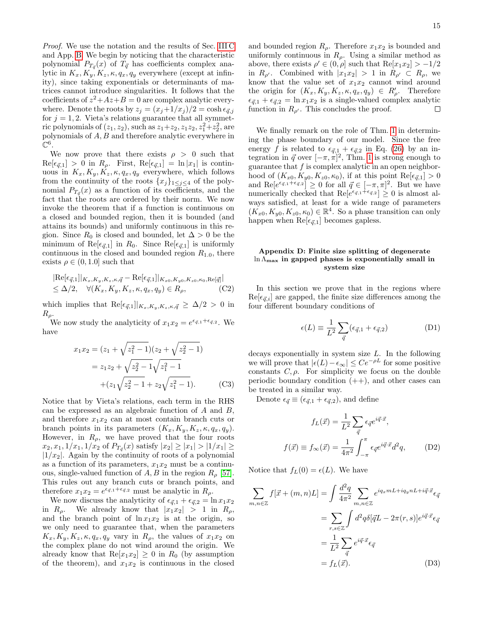Proof. We use the notation and the results of Sec. [III C](#page-4-0) and App. [B.](#page-13-1) We begin by noticing that the characteristic polynomial  $P_{T_{\vec{q}}}(x)$  of  $T_{\vec{q}}$  has coefficients complex analytic in  $K_x, K_y, K_z, \kappa, q_x, q_y$  everywhere (except at infinity), since taking exponentials or determinants of matrices cannot introduce singularities. It follows that the coefficients of  $z^2 + Az + B = 0$  are complex analytic everywhere. Denote the roots by  $z_i = (x_i+1/x_i)/2 = \cosh \epsilon_{\vec{q},i}$ for  $j = 1, 2$ . Vieta's relations guarantee that all symmetric polynomials of  $(z_1, z_2)$ , such as  $z_1 + z_2, z_1 z_2, z_1^2 + z_2^2$ , are polynomials of A, B and therefore analytic everywhere in  $\mathbb{C}^6$  .

We now prove that there exists  $\rho > 0$  such that  $\text{Re}[\epsilon_{\vec{q},1}] > 0$  in  $R_{\rho}$ . First,  $\text{Re}[\epsilon_{\vec{q},1}] = \ln |x_1|$  is continuous in  $K_x, K_y, K_z, \kappa, q_x, q_y$  everywhere, which follows from the continuity of the roots  $\{x_j\}_{1\leq j\leq 4}$  of the polynomial  $P_{T_{\vec{q}}}(x)$  as a function of its coefficients, and the fact that the roots are ordered by their norm. We now invoke the theorem that if a function is continuous on a closed and bounded region, then it is bounded (and attains its bounds) and uniformly continuous in this region. Since  $R_0$  is closed and bounded, let  $\Delta > 0$  be the minimum of Re $[\epsilon_{\vec{q},1}]$  in  $R_0$ . Since Re $[\epsilon_{\vec{q},1}]$  is uniformly continuous in the closed and bounded region  $R_{1.0}$ , there exists  $\rho \in (0, 1.0]$  such that

$$
|Re[\epsilon_{\vec{q},1}]|_{K_x, K_y, K_z, \kappa, \vec{q}} - Re[\epsilon_{\vec{q},1}]|_{K_{x0}, K_{y0}, K_{z0}, \kappa_0, Re[\vec{q}]}|
$$
  
\n
$$
\leq \Delta/2, \quad \forall (K_x, K_y, K_z, \kappa, q_x, q_y) \in R_\rho,
$$
 (C2)

which implies that  $\text{Re}[\epsilon_{\vec{q},1}]|_{K_x,K_y,K_z,\kappa,\vec{q}} \geq \Delta/2 > 0$  in  $R_\rho$ .

We now study the analyticity of  $x_1 x_2 = e^{\epsilon_{\vec{q},1} + \epsilon_{\vec{q},2}}$ . We have

$$
x_1 x_2 = (z_1 + \sqrt{z_1^2 - 1})(z_2 + \sqrt{z_2^2 - 1})
$$
  
=  $z_1 z_2 + \sqrt{z_2^2 - 1}\sqrt{z_1^2 - 1}$   
+  $(z_1 \sqrt{z_2^2 - 1} + z_2 \sqrt{z_1^2 - 1}).$  (C3)

Notice that by Vieta's relations, each term in the RHS can be expressed as an algebraic function of A and B, and therefore  $x_1x_2$  can at most contain branch cuts or branch points in its parameters  $(K_x, K_y, K_z, \kappa, q_x, q_y)$ . However, in  $R_{\rho}$ , we have proved that the four roots  $x_2, x_1, 1/x_1, 1/x_2$  of  $P_{T_{\vec{q}}}(x)$  satisfy  $|x_2| \ge |x_1| > |1/x_1| \ge$  $|1/x_2|$ . Again by the continuity of roots of a polynomial as a function of its parameters,  $x_1x_2$  must be a continuous, single-valued function of  $A, B$  in the region  $R_{\rho}$  [\[57\]](#page-18-9). This rules out any branch cuts or branch points, and therefore  $x_1 x_2 = e^{\epsilon_{\vec{q},1} + \epsilon_{\vec{q},2}}$  must be analytic in  $R_{\rho}$ .

We now discuss the analyticity of  $\epsilon_{\vec{q},1} + \epsilon_{\vec{q},2} = \ln x_1x_2$ in  $R_{\rho}$ . We already know that  $|x_1x_2| > 1$  in  $R_{\rho}$ , and the branch point of  $\ln x_1x_2$  is at the origin, so we only need to guarantee that, when the parameters  $K_x, K_y, K_z, \kappa, q_x, q_y$  vary in  $R_\rho$ , the values of  $x_1x_2$  on the complex plane do not wind around the origin. We already know that  $\text{Re}[x_1x_2] \geq 0$  in  $R_0$  (by assumption of the theorem), and  $x_1x_2$  is continuous in the closed

and bounded region  $R_{\rho}$ . Therefore  $x_1x_2$  is bounded and uniformly continuous in  $R_{\rho}$ . Using a similar method as above, there exists  $\rho' \in (0, \rho]$  such that  $\text{Re}[x_1 x_2] > -1/2$ in  $R_{\rho'}$ . Combined with  $|x_1x_2| > 1$  in  $R_{\rho'} \subset R_{\rho}$ , we know that the value set of  $x_1x_2$  cannot wind around the origin for  $(K_x, K_y, K_z, \kappa, q_x, q_y) \in R'_\rho$ . Therefore  $\epsilon_{\vec{q},1} + \epsilon_{\vec{q},2} = \ln x_1x_2$  is a single-valued complex analytic function in  $R_{\rho'}$ . This concludes the proof. □

We finally remark on the role of Thm. [1](#page-13-5) in determining the phase boundary of our model. Since the free energy f is related to  $\epsilon_{\vec{q},1} + \epsilon_{\vec{q},2}$  in Eq. [\(26\)](#page-5-3) by an integration in  $\vec{q}$  over  $[-\pi, \pi]^2$ , Thm. [1](#page-13-5) is strong enough to guarantee that  $f$  is complex analytic in an open neighborhood of  $(K_{x0}, K_{y0}, K_{z0}, \kappa_0)$ , if at this point  $\text{Re}[\epsilon_{\vec{q},1}] > 0$ and  $\text{Re}[e^{\epsilon_{\vec{q},1}+\epsilon_{\vec{q},2}}] \geq 0$  for all  $\vec{q} \in [-\pi,\pi]^2$ . But we have numerically checked that  $\text{Re}[e^{\epsilon_{\vec{q},1}+\epsilon_{\vec{q},2}}] \geq 0$  is almost always satisfied, at least for a wide range of parameters  $(K_{x0}, K_{y0}, K_{z0}, \kappa_0) \in \mathbb{R}^4$ . So a phase transition can only happen when  $\text{Re}[\epsilon_{\vec{q},1}]$  becomes gapless.

# <span id="page-14-0"></span>Appendix D: Finite size splitting of degenerate ln Λmax in gapped phases is exponentially small in system size

In this section we prove that in the regions where  $\text{Re}[\epsilon_{\vec{q},i}]$  are gapped, the finite size differences among the four different boundary conditions of

$$
\epsilon(L) \equiv \frac{1}{L^2} \sum_{\vec{q}} (\epsilon_{\vec{q},1} + \epsilon_{\vec{q},2})
$$
 (D1)

decays exponentially in system size L. In the following we will prove that  $|\epsilon(L)-\epsilon_{\infty}|$  ≤  $Ce^{-\rho L}$  for some positive constants  $C, \rho$ . For simplicity we focus on the double periodic boundary condition  $(++)$ , and other cases can be treated in a similar way.

Denote  $\epsilon_{\vec{q}} \equiv (\epsilon_{\vec{q},1} + \epsilon_{\vec{q},2}),$  and define

$$
f_L(\vec{x}) = \frac{1}{L^2} \sum_{\vec{q}} \epsilon_{\vec{q}} e^{i\vec{q}\cdot\vec{x}},
$$

$$
f(\vec{x}) \equiv f_{\infty}(\vec{x}) = \frac{1}{4\pi^2} \int_{-\pi}^{\pi} \epsilon_{\vec{q}} e^{i\vec{q}\cdot\vec{x}} d^2q,
$$
(D2)

Notice that  $f_L(0) = \epsilon(L)$ . We have

$$
\sum_{m,n\in\mathbb{Z}} f[\vec{x} + (m,n)L] = \int \frac{d^2q}{4\pi^2} \sum_{m,n\in\mathbb{Z}} e^{iq_x mL + iq_y nL + i\vec{q}\cdot\vec{x}} \epsilon_{\vec{q}}
$$

$$
= \sum_{r,s\in\mathbb{Z}} \int d^2q \delta[\vec{q}L - 2\pi(r,s)] e^{i\vec{q}\cdot\vec{x}} \epsilon_{\vec{q}}
$$

$$
= \frac{1}{L^2} \sum_{\vec{q}} e^{i\vec{q}\cdot\vec{x}} \epsilon_{\vec{q}}
$$

$$
= f_L(\vec{x}).
$$
(D3)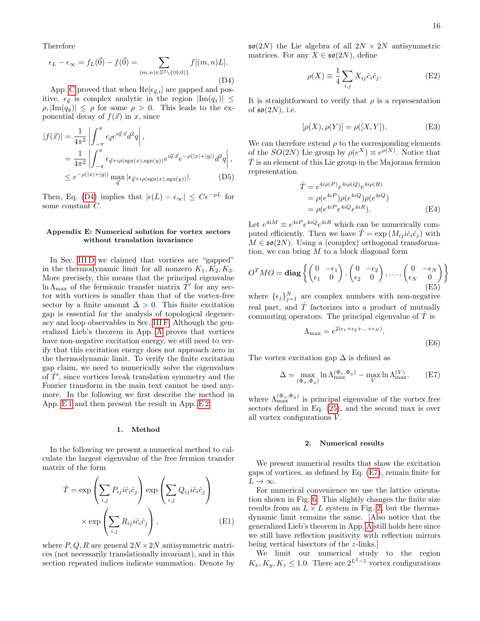Therefore

<span id="page-15-2"></span>
$$
\epsilon_L - \epsilon_\infty = f_L(\vec{0}) - f(\vec{0}) = \sum_{(m,n)\in\mathbb{Z}^2\backslash\{(0,0)\}} f[(m,n)L].
$$
\n(D4)

App. [C](#page-13-0) proved that when  $\text{Re}[\epsilon_{\vec{q},i}]$  are gapped and positive,  $\epsilon_{\vec{q}}$  is complex analytic in the region  $|\text{Im}(q_x)| \leq$  $\rho, |\text{Im}(q_u)| \leq \rho$  for some  $\rho > 0$ . This leads to the exponential decay of  $f(\vec{x})$  in x, since

$$
|f(\vec{x})| = \frac{1}{4\pi^2} \left| \int_{-\pi}^{\pi} \epsilon_{\vec{q}} e^{i\vec{q}\cdot\vec{x}} d^2 q \right|,
$$
  
\n
$$
= \frac{1}{4\pi^2} \left| \int_{-\pi}^{\pi} \epsilon_{\vec{q}+i\rho(\text{sgn}(x),\text{sgn}(y))} e^{i\vec{q}\cdot\vec{x}} e^{-\rho(|x|+|y|)} d^2 q \right|,
$$
  
\n
$$
\leq e^{-\rho(|x|+|y|)} \max_{\vec{q}} |\epsilon_{\vec{q}+i\rho(\text{sgn}(x),\text{sgn}(y))}|.
$$
 (D5)

Then, Eq. [\(D4\)](#page-15-2) implies that  $|\epsilon(L) - \epsilon_{\infty}| \leq Ce^{-\rho L}$  for some constant C.

## <span id="page-15-0"></span>Appendix E: Numerical solution for vortex sectors without translation invariance

In Sec. IIID we claimed that vortices are "gapped" in the thermodynamic limit for all nonzero  $K_1, K_2, K_3$ . More precisely, this means that the principal eigenvalue  $\ln \Lambda_{\text{max}}$  of the fermionic transfer matrix  $\hat{T}'$  for any sector with vortices is smaller than that of the vortex-free sector by a finite amount  $\Delta > 0$ . This finite excitation gap is essential for the analysis of topological degeneracy and loop observables in Sec. [III F.](#page-7-1) Although the generalized Lieb's theorem in App. [A](#page-11-0) proves that vortices have non-negative excitation energy, we still need to verify that this excitation energy does not approach zero in the thermodynamic limit. To verify the finite excitation gap claim, we need to numerically solve the eigenvalues of  $\hat{T}'$ , since vortices break translation symmetry and the Fourier transform in the main text cannot be used anymore. In the following we first describe the method in App. [E 1](#page-15-3) and then present the result in App. [E 2.](#page-15-1)

#### <span id="page-15-3"></span>1. Method

In the following we present a numerical method to calculate the largest eigenvalue of the free fermion transfer matrix of the form

$$
\hat{T} = \exp\left(\sum_{i,j} P_{ij} i \hat{c}_i \hat{c}_j\right) \exp\left(\sum_{i,j} Q_{ij} i \hat{c}_i \hat{c}_j\right)
$$

$$
\times \exp\left(\sum_{i,j} R_{ij} i \hat{c}_i \hat{c}_j\right),
$$
(E1)

where  $P, Q, R$  are general  $2N \times 2N$  antisymmetric matrices (not necessarily translationally invariant), and in this section repeated indices indicate summation. Denote by  $\mathfrak{so}(2N)$  the Lie algebra of all  $2N \times 2N$  antisymmetric matrices. For any  $X \in \mathfrak{so}(2N)$ , define

$$
\rho(X) \equiv \frac{1}{4} \sum_{i,j} X_{ij} \hat{c}_i \hat{c}_j.
$$
 (E2)

It is straightforward to verify that  $\rho$  is a representation of  $\mathfrak{so}(2N)$ , i.e.

$$
[\rho(X), \rho(Y)] = \rho([X, Y]).
$$
 (E3)

We can therefore extend  $\rho$  to the corresponding elements of the  $SO(2N)$  Lie group by  $\rho(e^X) \equiv e^{\rho(X)}$ . Notice that  $\hat{T}$  is an element of this Lie group in the Majorana fermion representation

$$
\hat{T} = e^{4i\rho(P)} e^{4i\rho(Q)} e^{4i\rho(R)} \n= \rho(e^{4iP}) \rho(e^{4iQ}) \rho(e^{4iQ}) \n= \rho(e^{4iP} e^{4iQ} e^{4iR}).
$$
\n(E4)

Let  $e^{4iM} \equiv e^{4iP} e^{4iQ} e^{4iR}$  which can be numerically computed efficiently. Then we have  $\hat{T} = \exp(M_{ij} i \hat{c}_i \hat{c}_j)$  with  $M \in \mathfrak{so}(2N)$ . Using a (complex) orthogonal transformation, we can bring  $M$  to a block diagonal form

$$
O^TMO = \mathbf{diag}\left\{ \begin{pmatrix} 0 & -\epsilon_1 \\ \epsilon_1 & 0 \end{pmatrix}, \begin{pmatrix} 0 & -\epsilon_2 \\ \epsilon_2 & 0 \end{pmatrix}, \dots, \begin{pmatrix} 0 & -\epsilon_N \\ \epsilon_N & 0 \end{pmatrix} \right\}
$$
(E5)

where  $\{\epsilon_j\}_{j=1}^N$  are complex numbers with non-negative real part, and  $\hat{T}$  factorizes into a product of mutually commuting operators. The principal eigenvalue of  $T$  is

$$
\Lambda_{\text{max}} = e^{2(\epsilon_1 + \epsilon_2 + \dots + \epsilon_N)}.
$$
\n(E6)

The vortex excitation gap  $\Delta$  is defined as

<span id="page-15-4"></span>
$$
\Delta = \max_{(\Phi_x, \Phi_y)} \ln \Lambda_{\max}^{(\Phi_x, \Phi_y)} - \max_{V} \ln \Lambda_{\max}^{(V)}.
$$
 (E7)

where  $\Lambda_{\max}^{(\Phi_x, \Phi_y)}$  is principal eigenvalue of the vortex free sectors defined in Eq. [\(25\)](#page-5-5), and the second max is over all vortex configurations V .

### <span id="page-15-1"></span>2. Numerical results

We present numerical results that show the excitation gaps of vortices, as defined by Eq. [\(E7\)](#page-15-4), remain finite for  $L \to \infty$ .

For numerical convenience we use the lattice orientation shown in Fig. [6.](#page-16-1) This slightly changes the finite size results from an  $L \times L$  system in Fig. [2,](#page-2-3) but the thermodynamic limit remains the same. [Also notice that the generalized Lieb's theorem in App. [A](#page-11-0) still holds here since we still have reflection positivity with reflection mirrors being vertical bisectors of the z-links.]

We limit our numerical study to the region  $K_x, K_y, K_z \leq 1.0$ . There are  $2^{L^2-1}$  vortex configurations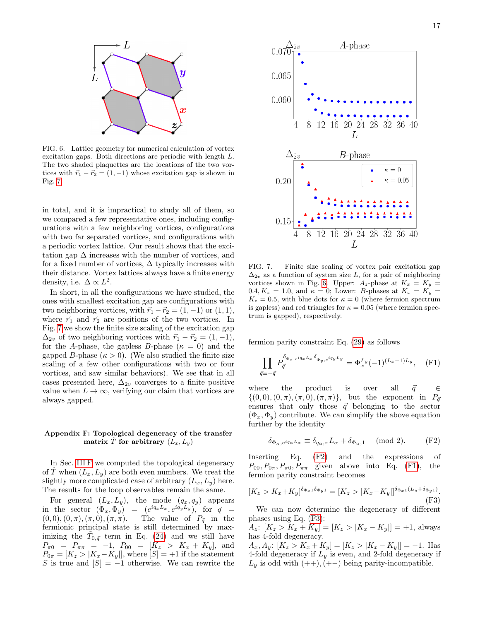

<span id="page-16-1"></span>FIG. 6. Lattice geometry for numerical calculation of vortex excitation gaps. Both directions are periodic with length L. The two shaded plaquettes are the locations of the two vortices with  $\vec{r}_1 - \vec{r}_2 = (1, -1)$  whose excitation gap is shown in Fig. [7.](#page-16-2)

in total, and it is impractical to study all of them, so we compared a few representative ones, including configurations with a few neighboring vortices, configurations with two far separated vortices, and configurations with a periodic vortex lattice. Our result shows that the excitation gap  $\Delta$  increases with the number of vortices, and for a fixed number of vortices,  $\Delta$  typically increases with their distance. Vortex lattices always have a finite energy density, i.e.  $\Delta \propto L^2$ .

In short, in all the configurations we have studied, the ones with smallest excitation gap are configurations with two neighboring vortices, with  $\vec{r}_1 - \vec{r}_2 = (1, -1)$  or  $(1, 1)$ , where  $\vec{r}_1$  and  $\vec{r}_2$  are positions of the two vortices. In Fig. [7](#page-16-2) we show the finite size scaling of the excitation gap  $\Delta_{2v}$  of two neighboring vortices with  $\vec{r}_1 - \vec{r}_2 = (1, -1),$ for the A-phase, the gapless B-phase ( $\kappa = 0$ ) and the gapped B-phase  $(\kappa > 0)$ . (We also studied the finite size scaling of a few other configurations with two or four vortices, and saw similar behaviors). We see that in all cases presented here,  $\Delta_{2v}$  converges to a finite positive value when  $L \to \infty$ , verifying our claim that vortices are always gapped.

## <span id="page-16-0"></span>Appendix F: Topological degeneracy of the transfer matrix  $\hat{T}$  for arbitrary  $(L_x, L_y)$

In Sec. [III F](#page-7-1) we computed the topological degeneracy of T when  $(L_x, L_y)$  are both even numbers. We treat the slightly more complicated case of arbitrary  $(L_x, L_y)$  here. The results for the loop observables remain the same.

For general  $(L_x, L_y)$ , the mode  $(q_x, q_y)$  appears in the sector  $(\Phi_x, \Phi_y) = (e^{iq_xL_x}, e^{iq_yL_y}),$  for  $\vec{q}$  =  $(0, 0), (0, \pi), (\pi, 0), (\pi, \pi)$ . The value of  $P_{\vec{q}}$  in the fermionic principal state is still determined by maximizing the  $\tilde{T}_{0,\vec{q}}$  term in Eq. [\(24\)](#page-5-2) and we still have  $P_{\pi0} = P_{\pi\pi} = -1$ ,  $P_{00} = [K_z > K_x + K_y]$ , and  $P_{0\pi} = [K_z > |K_x - K_y|],$  where  $[S] = +1$  if the statement S is true and  $[S] = -1$  otherwise. We can rewrite the



<span id="page-16-2"></span>FIG. 7. Finite size scaling of vortex pair excitation gap  $\Delta_{2v}$  as a function of system size L, for a pair of neighboring vortices shown in Fig. [6.](#page-16-1) Upper:  $A_z$ -phase at  $K_x = K_y =$ 0.4,  $K_z = 1.0$ , and  $\kappa = 0$ ; Lower: B-phases at  $K_x = K_y =$  $K_z = 0.5$ , with blue dots for  $\kappa = 0$  (where fermion spectrum is gapless) and red triangles for  $\kappa = 0.05$  (where fermion spectrum is gapped), respectively.

fermion parity constraint Eq. [\(29\)](#page-7-3) as follows

<span id="page-16-4"></span>
$$
\prod_{\vec{q} \equiv -\vec{q}} P_{\vec{q}}^{\delta_{\Phi_x, e^{iq_x L_x \delta_{\Phi_y, e^{iq_y L_y}}}} = \Phi_x^{L_y} (-1)^{(L_x - 1)L_y}, \quad \text{(F1)}
$$

where the product is over all  $\vec{q} \in \mathbb{R}$  $\{(0,0), (0,\pi),(\pi,0),(\pi,\pi)\}\$ , but the exponent in  $P_{\vec{q}}$ ensures that only those  $\vec{q}$  belonging to the sector  $(\Phi_x, \Phi_y)$  contribute. We can simplify the above equation further by the identity

<span id="page-16-3"></span>
$$
\delta_{\Phi_{\alpha}, e^{iq_{\alpha}L_{\alpha}}} \equiv \delta_{q_{\alpha}, \pi} L_{\alpha} + \delta_{\Phi_{\alpha}, 1} \pmod{2}.
$$
 (F2)

Inserting Eq. [\(F2\)](#page-16-3) and the expressions of  $P_{00}, P_{0\pi}, P_{\pi 0}, P_{\pi\pi}$  given above into Eq. [\(F1\)](#page-16-4), the fermion parity constraint becomes

<span id="page-16-5"></span>
$$
[K_z > K_x + K_y]^{\delta_{\Phi_x 1} \delta_{\Phi_y 1}} = [K_z > |K_x - K_y|]^{\delta_{\Phi_x 1} (L_y + \delta_{\Phi_y 1})}.
$$
\n(F3)

We can now determine the degeneracy of different phases using Eq. [\(F3\)](#page-16-5):

 $A_z: [K_z > K_x + K_y] = [K_z > |K_x - K_y|] = +1$ , always has 4-fold degeneracy.

 $A_x, A_y$ :  $[K_z > K_x + K_y] = [K_z > |K_x - K_y|] = -1$ . Has 4-fold degeneracy if  $L_y$  is even, and 2-fold degeneracy if  $L_y$  is odd with  $(++)$ ,  $(+-)$  being parity-incompatible.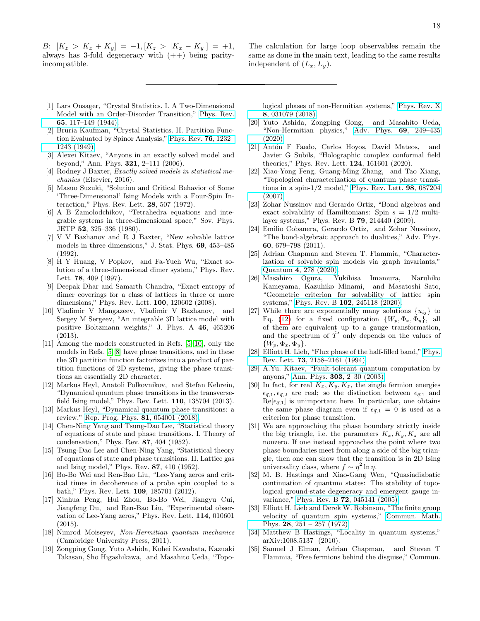B:  $[K_z > K_x + K_y] = -1, [K_z > |K_x - K_y|] = +1,$ always has 3-fold degeneracy with  $(++)$  being parityincompatible.

The calculation for large loop observables remain the same as done in the main text, leading to the same results independent of  $(L_x, L_y)$ .

- <span id="page-17-0"></span>[1] Lars Onsager, "Crystal Statistics. I. A Two-Dimensional Model with an Order-Disorder Transition," [Phys. Rev.](http://dx.doi.org/10.1103/PhysRev.65.117) 65[, 117–149 \(1944\).](http://dx.doi.org/10.1103/PhysRev.65.117)
- <span id="page-17-1"></span>[2] Bruria Kaufman, "Crystal Statistics. II. Partition Function Evaluated by Spinor Analysis," [Phys. Rev.](http://dx.doi.org/10.1103/PhysRev.76.1232) 76, 1232– [1243 \(1949\).](http://dx.doi.org/10.1103/PhysRev.76.1232)
- <span id="page-17-2"></span>[3] Alexei Kitaev, "Anyons in an exactly solved model and beyond," Ann. Phys. 321, 2–111 (2006).
- <span id="page-17-3"></span>[4] Rodney J Baxter, Exactly solved models in statistical mechanics (Elsevier, 2016).
- <span id="page-17-4"></span>[5] Masuo Suzuki, "Solution and Critical Behavior of Some 'Three-Dimensional' Ising Models with a Four-Spin Interaction," Phys. Rev. Lett. 28, 507 (1972).
- <span id="page-17-7"></span>[6] A B Zamolodchikov, "Tetrahedra equations and integrable systems in three-dimensional space," Sov. Phys. JETP 52, 325–336 (1980).
- <span id="page-17-8"></span>[7] V V Bazhanov and R J Baxter, "New solvable lattice models in three dimensions," J. Stat. Phys. 69, 453–485 (1992).
- <span id="page-17-30"></span>[8] H Y Huang, V Popkov, and Fa-Yueh Wu, "Exact solution of a three-dimensional dimer system," Phys. Rev. Lett. 78, 409 (1997).
- [9] Deepak Dhar and Samarth Chandra, "Exact entropy of dimer coverings for a class of lattices in three or more dimensions," Phys. Rev. Lett. 100, 120602 (2008).
- <span id="page-17-5"></span>[10] Vladimir V Mangazeev, Vladimir V Bazhanov, and Sergey M Sergeev, "An integrable 3D lattice model with positive Boltzmann weights," J. Phys. A 46, 465206 (2013).
- <span id="page-17-6"></span>[11] Among the models constructed in Refs. [\[5](#page-17-4)[–10\]](#page-17-5), only the models in Refs. [\[5,](#page-17-4) [8\]](#page-17-30) have phase transitions, and in these the 3D partition function factorizes into a product of partition functions of 2D systems, giving the phase transitions an essentially 2D character.
- <span id="page-17-9"></span>[12] Markus Heyl, Anatoli Polkovnikov, and Stefan Kehrein, "Dynamical quantum phase transitions in the transversefield Ising model," Phys. Rev. Lett. 110, 135704 (2013).
- <span id="page-17-10"></span>[13] Markus Heyl, "Dynamical quantum phase transitions: a review," [Rep. Prog. Phys.](http://dx.doi.org/10.1088/1361-6633/aaaf9a) 81, 054001 (2018).
- <span id="page-17-11"></span>[14] Chen-Ning Yang and Tsung-Dao Lee, "Statistical theory of equations of state and phase transitions. I. Theory of condensation," Phys. Rev. 87, 404 (1952).
- [15] Tsung-Dao Lee and Chen-Ning Yang, "Statistical theory of equations of state and phase transitions. II. Lattice gas and Ising model," Phys. Rev. 87, 410 (1952).
- <span id="page-17-29"></span>[16] Bo-Bo Wei and Ren-Bao Liu, "Lee-Yang zeros and critical times in decoherence of a probe spin coupled to a bath," Phys. Rev. Lett. 109, 185701 (2012).
- <span id="page-17-12"></span>[17] Xinhua Peng, Hui Zhou, Bo-Bo Wei, Jiangyu Cui, Jiangfeng Du, and Ren-Bao Liu, "Experimental observation of Lee-Yang zeros," Phys. Rev. Lett. 114, 010601  $(2015)$
- <span id="page-17-13"></span>[18] Nimrod Moiseyev, Non-Hermitian quantum mechanics (Cambridge University Press, 2011).
- [19] Zongping Gong, Yuto Ashida, Kohei Kawabata, Kazuaki Takasan, Sho Higashikawa, and Masahito Ueda, "Topo-

logical phases of non-Hermitian systems," [Phys. Rev. X](http://dx.doi.org/ 10.1103/PhysRevX.8.031079) 8[, 031079 \(2018\).](http://dx.doi.org/ 10.1103/PhysRevX.8.031079)

- <span id="page-17-14"></span>[20] Yuto Ashida, Zongping Gong, and Masahito Ueda, "Non-Hermitian physics," [Adv. Phys.](http://dx.doi.org/10.1080/00018732.2021.1876991) 69, 249–435 [\(2020\).](http://dx.doi.org/10.1080/00018732.2021.1876991)
- <span id="page-17-15"></span>[21] Antón F Faedo, Carlos Hoyos, David Mateos, and Javier G Subils, "Holographic complex conformal field theories," Phys. Rev. Lett. 124, 161601 (2020).
- <span id="page-17-16"></span>[22] Xiao-Yong Feng, Guang-Ming Zhang, and Tao Xiang, "Topological characterization of quantum phase transitions in a spin-1/2 model," [Phys. Rev. Lett.](http://dx.doi.org/10.1103/PhysRevLett.98.087204) 98, 087204 [\(2007\).](http://dx.doi.org/10.1103/PhysRevLett.98.087204)
- <span id="page-17-17"></span>[23] Zohar Nussinov and Gerardo Ortiz, "Bond algebras and exact solvability of Hamiltonians: Spin  $s = 1/2$  multilayer systems," Phys. Rev. B 79, 214440 (2009).
- [24] Emilio Cobanera, Gerardo Ortiz, and Zohar Nussinov, "The bond-algebraic approach to dualities," Adv. Phys. 60, 679–798 (2011).
- <span id="page-17-27"></span>[25] Adrian Chapman and Steven T. Flammia, "Characterization of solvable spin models via graph invariants," Quantum 4[, 278 \(2020\).](http://dx.doi.org/10.22331/q-2020-06-04-278)
- <span id="page-17-18"></span>[26] Masahiro Ogura, Yukihisa Imamura, Naruhiko Kameyama, Kazuhiko Minami, and Masatoshi Sato, "Geometric criterion for solvability of lattice spin systems," Phys. Rev. B 102[, 245118 \(2020\).](http://dx.doi.org/10.1103/PhysRevB.102.245118)
- <span id="page-17-19"></span>[27] While there are exponentially many solutions  $\{u_{ij}\}\)$  to Eq. [\(12\)](#page-3-3) for a fixed configuration  $\{W_p, \Phi_x, \Phi_y\}$ , all of them are equivalent up to a gauge transformation, and the spectrum of  $\hat{T}'$  only depends on the values of  $\{W_p, \Phi_x, \Phi_y\}.$
- <span id="page-17-20"></span>[28] Elliott H. Lieb, "Flux phase of the half-filled band," [Phys.](http://dx.doi.org/ 10.1103/PhysRevLett.73.2158) Rev. Lett. 73[, 2158–2161 \(1994\).](http://dx.doi.org/ 10.1103/PhysRevLett.73.2158)
- <span id="page-17-21"></span>[29] A.Yu. Kitaev, "Fault-tolerant quantum computation by anyons," Ann. Phys. 303[, 2–30 \(2003\).](http://dx.doi.org/ https://doi.org/10.1016/S0003-4916(02)00018-0)
- <span id="page-17-22"></span>[30] In fact, for real  $K_x, K_y, K_z$ , the single fermion energies  $\epsilon_{\vec{q},1}, \epsilon_{\vec{q},2}$  are real; so the distinction between  $\epsilon_{\vec{q},1}$  and  $\text{Re}[\epsilon_{\vec{q},1}]$  is unimportant here. In particular, one obtains the same phase diagram even if  $\epsilon_{\vec{q},1} = 0$  is used as a criterion for phase transition.
- <span id="page-17-23"></span>[31] We are approaching the phase boundary strictly inside the big triangle, i.e. the parameters  $K_x, K_y, K_z$  are all nonzero. If one instead approaches the point where two phase boundaries meet from along a side of the big triangle, then one can show that the transition is in 2D Ising universality class, where  $f \sim \eta^2 \ln \eta$ .
- <span id="page-17-24"></span>[32] M. B. Hastings and Xiao-Gang Wen, "Quasiadiabatic continuation of quantum states: The stability of topological ground-state degeneracy and emergent gauge invariance," Phys. Rev. B **72**[, 045141 \(2005\).](http://dx.doi.org/ 10.1103/PhysRevB.72.045141)
- <span id="page-17-25"></span>[33] Elliott H. Lieb and Derek W. Robinson, "The finite group" velocity of quantum spin systems," [Commun. Math.](http://dx.doi.org/ cmp/1103858407) Phys. 28[, 251 – 257 \(1972\).](http://dx.doi.org/ cmp/1103858407)
- <span id="page-17-26"></span>[34] Matthew B Hastings, "Locality in quantum systems," arXiv:1008.5137 (2010).
- <span id="page-17-28"></span>[35] Samuel J Elman, Adrian Chapman, and Steven T Flammia, "Free fermions behind the disguise," Commun.